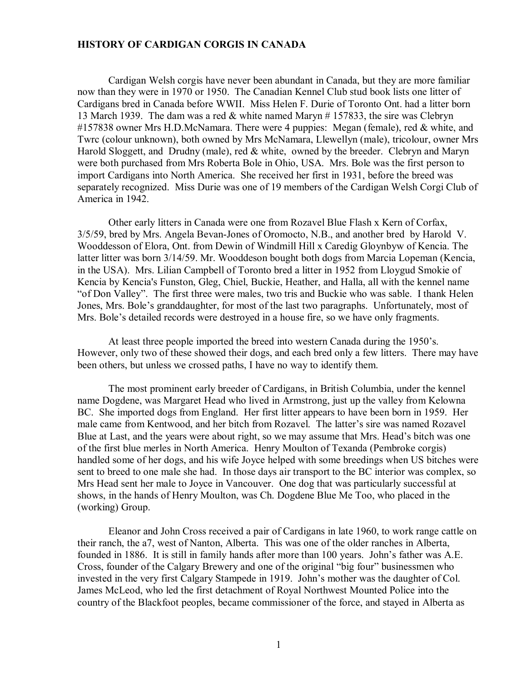## **HISTORY OF CARDIGAN CORGIS IN CANADA**

Cardigan Welsh corgis have never been abundant in Canada, but they are more familiar now than they were in 1970 or 1950. The Canadian Kennel Club stud book lists one litter of Cardigans bred in Canada before WWII. Miss Helen F. Durie of Toronto Ont. had a litter born 13 March 1939. The dam was a red & white named Maryn # 157833, the sire was Clebryn #157838 owner Mrs H.D.McNamara. There were 4 puppies: Megan (female), red & white, and Twrc (colour unknown), both owned by Mrs McNamara, Llewellyn (male), tricolour, owner Mrs Harold Sloggett, and Drudny (male), red & white, owned by the breeder. Clebryn and Maryn were both purchased from Mrs Roberta Bole in Ohio, USA. Mrs. Bole was the first person to import Cardigans into North America. She received her first in 1931, before the breed was separately recognized. Miss Durie was one of 19 members of the Cardigan Welsh Corgi Club of America in 1942.

Other early litters in Canada were one from Rozavel Blue Flash x Kern of Corfax, 3/5/59, bred by Mrs. Angela Bevan-Jones of Oromocto, N.B., and another bred by Harold V. Wooddesson of Elora, Ont. from Dewin of Windmill Hill x Caredig Gloynbyw of Kencia. The latter litter was born 3/14/59. Mr. Wooddeson bought both dogs from Marcia Lopeman (Kencia, in the USA). Mrs. Lilian Campbell of Toronto bred a litter in 1952 from Lloygud Smokie of Kencia by Kencia's Funston, Gleg, Chiel, Buckie, Heather, and Halla, all with the kennel name "of Don Valley". The first three were males, two tris and Buckie who was sable. I thank Helen Jones, Mrs. Bole's granddaughter, for most of the last two paragraphs. Unfortunately, most of Mrs. Bole's detailed records were destroyed in a house fire, so we have only fragments.

At least three people imported the breed into western Canada during the 1950's. However, only two of these showed their dogs, and each bred only a few litters. There may have been others, but unless we crossed paths, I have no way to identify them.

The most prominent early breeder of Cardigans, in British Columbia, under the kennel name Dogdene, was Margaret Head who lived in Armstrong, just up the valley from Kelowna BC. She imported dogs from England. Her first litter appears to have been born in 1959. Her male came from Kentwood, and her bitch from Rozavel. The latter's sire was named Rozavel Blue at Last, and the years were about right, so we may assume that Mrs. Head's bitch was one of the first blue merles in North America. Henry Moulton of Texanda (Pembroke corgis) handled some of her dogs, and his wife Joyce helped with some breedings when US bitches were sent to breed to one male she had. In those days air transport to the BC interior was complex, so Mrs Head sent her male to Joyce in Vancouver. One dog that was particularly successful at shows, in the hands of Henry Moulton, was Ch. Dogdene Blue Me Too, who placed in the (working) Group.

Eleanor and John Cross received a pair of Cardigans in late 1960, to work range cattle on their ranch, the a7, west of Nanton, Alberta. This was one of the older ranches in Alberta, founded in 1886. It is still in family hands after more than 100 years. John's father was A.E. Cross, founder of the Calgary Brewery and one of the original "big four" businessmen who invested in the very first Calgary Stampede in 1919. John's mother was the daughter of Col. James McLeod, who led the first detachment of Royal Northwest Mounted Police into the country of the Blackfoot peoples, became commissioner of the force, and stayed in Alberta as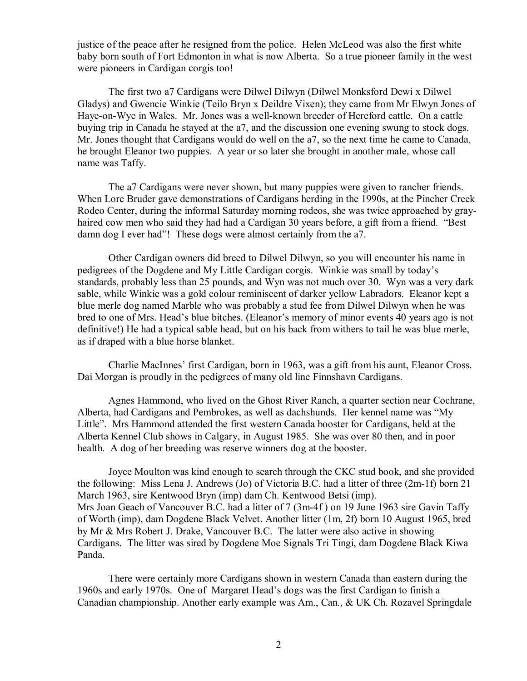justice of the peace after he resigned from the police. Helen McLeod was also the first white baby born south of Fort Edmonton in what is now Alberta. So a true pioneer family in the west were pioneers in Cardigan corgis too!

The first two a7 Cardigans were Dilwel Dilwyn (Dilwel Monksford Dewi x Dilwel Gladys) and Gwencie Winkie (Teilo Bryn x Deildre Vixen); they came from Mr Elwyn Jones of Haye-on-Wye in Wales. Mr. Jones was a well-known breeder of Hereford cattle. On a cattle buying trip in Canada he stayed at the a7, and the discussion one evening swung to stock dogs. Mr. Jones thought that Cardigans would do well on the a7, so the next time he came to Canada, he brought Eleanor two puppies. A year or so later she brought in another male, whose call name was Taffy.

The a7 Cardigans were never shown, but many puppies were given to rancher friends. When Lore Bruder gave demonstrations of Cardigans herding in the 1990s, at the Pincher Creek Rodeo Center, during the informal Saturday morning rodeos, she was twice approached by grayhaired cow men who said they had had a Cardigan 30 years before, a gift from a friend. "Best damn dog I ever had"! These dogs were almost certainly from the a7.

Other Cardigan owners did breed to Dilwel Dilwyn, so you will encounter his name in pedigrees of the Dogdene and My Little Cardigan corgis. Winkie was small by today's standards, probably less than 25 pounds, and Wyn was not much over 30. Wyn was a very dark sable, while Winkie was a gold colour reminiscent of darker yellow Labradors. Eleanor kept a blue merle dog named Marble who was probably a stud fee from Dilwel Dilwyn when he was bred to one of Mrs. Head's blue bitches. (Eleanor's memory of minor events 40 years ago is not definitive!) He had a typical sable head, but on his back from withers to tail he was blue merle, as if draped with a blue horse blanket.

Charlie MacInnes' first Cardigan, born in 1963, was a gift from his aunt, Eleanor Cross. Dai Morgan is proudly in the pedigrees of many old line Finnshavn Cardigans.

Agnes Hammond, who lived on the Ghost River Ranch, a quarter section near Cochrane, Alberta, had Cardigans and Pembrokes, as well as dachshunds. Her kennel name was "My Little". Mrs Hammond attended the first western Canada booster for Cardigans, held at the Alberta Kennel Club shows in Calgary, in August 1985. She was over 80 then, and in poor health. A dog of her breeding was reserve winners dog at the booster.

Joyce Moulton was kind enough to search through the CKC stud book, and she provided the following: Miss Lena J. Andrews (Jo) of Victoria B.C. had a litter of three (2m-1f) born 21 March 1963, sire Kentwood Bryn (imp) dam Ch. Kentwood Betsi (imp). Mrs Joan Geach of Vancouver B.C. had a litter of 7 (3m-4f) on 19 June 1963 sire Gavin Taffy of Worth (imp), dam Dogdene Black Velvet. Another litter (1m, 2f) born 10 August 1965, bred by Mr & Mrs Robert J. Drake, Vancouver B.C. The latter were also active in showing Cardigans. The litter was sired by Dogdene Moe Signals Tri Tingi, dam Dogdene Black Kiwa Panda.

There were certainly more Cardigans shown in western Canada than eastern during the 1960s and early 1970s. One of Margaret Head's dogs was the first Cardigan to finish a Canadian championship. Another early example was Am., Can., & UK Ch. Rozavel Springdale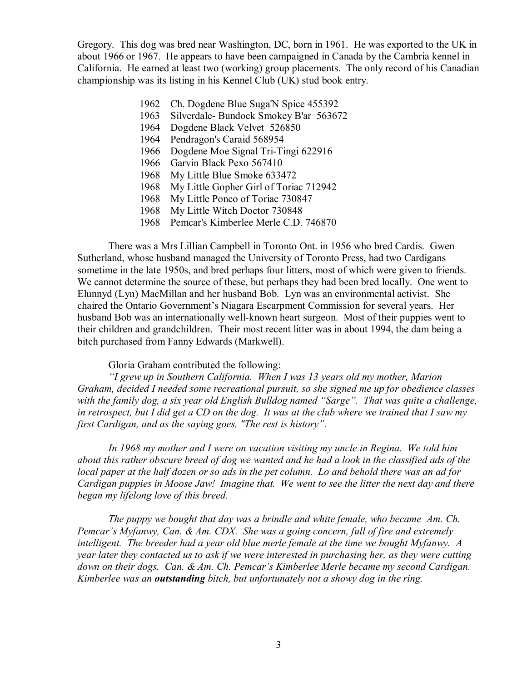Gregory. This dog was bred near Washington, DC, born in 1961. He was exported to the UK in about 1966 or 1967. He appears to have been campaigned in Canada by the Cambria kennel in California. He earned at least two (working) group placements. The only record of his Canadian championship was its listing in his Kennel Club (UK) stud book entry.

- 1962 Ch. Dogdene Blue Suga'N Spice 455392
- 1963 Silverdale- Bundock Smokey B'ar 563672
- 1964 Dogdene Black Velvet 526850
- 1964 Pendragon's Caraid 568954
- 1966 Dogdene Moe Signal Tri-Tingi 622916
- 1966 Garvin Black Pexo 567410
- 1968 My Little Blue Smoke 633472
- 1968 My Little Gopher Girl of Toriac 712942
- 1968 My Little Ponco of Toriac 730847
- 1968 My Little Witch Doctor 730848
- 1968 Pemcar's Kimberlee Merle C.D. 746870

There was a Mrs Lillian Campbell in Toronto Ont. in 1956 who bred Cardis. Gwen Sutherland, whose husband managed the University of Toronto Press, had two Cardigans sometime in the late 1950s, and bred perhaps four litters, most of which were given to friends. We cannot determine the source of these, but perhaps they had been bred locally. One went to Elunnyd (Lyn) MacMillan and her husband Bob. Lyn was an environmental activist. She chaired the Ontario Government's Niagara Escarpment Commission for several years. Her husband Bob was an internationally well-known heart surgeon. Most of their puppies went to their children and grandchildren. Their most recent litter was in about 1994, the dam being a bitch purchased from Fanny Edwards (Markwell).

## Gloria Graham contributed the following:

*"I grew up in Southern California. When I was 13 years old my mother, Marion Graham, decided I needed some recreational pursuit, so she signed me up for obedience classes with the family dog, a six year old English Bulldog named "Sarge". That was quite a challenge,*  in retrospect, but I did get a CD on the dog. It was at the club where we trained that I saw my *first Cardigan, and as the saying goes, "The rest is history".* 

*In 1968 my mother and I were on vacation visiting my uncle in Regina. We told him*  about this rather obscure breed of dog we wanted and he had a look in the classified ads of the local paper at the half dozen or so ads in the pet column. Lo and behold there was an ad for *Cardigan puppies in Moose Jaw! Imagine that. We went to see the litter the next day and there began my lifelong love of this breed.* 

*The puppy we bought that day was a brindle and white female, who became Am. Ch. Pemcar's Myfanwy, Can. & Am. CDX. She was a going concern, full of fire and extremely intelligent. The breeder had a year old blue merle female at the time we bought Myfanwy. A year later they contacted us to ask if we were interested in purchasing her, as they were cutting down on their dogs. Can. & Am. Ch. Pemcar's Kimberlee Merle became my second Cardigan. Kimberlee was an outstanding bitch, but unfortunately not a showy dog in the ring.*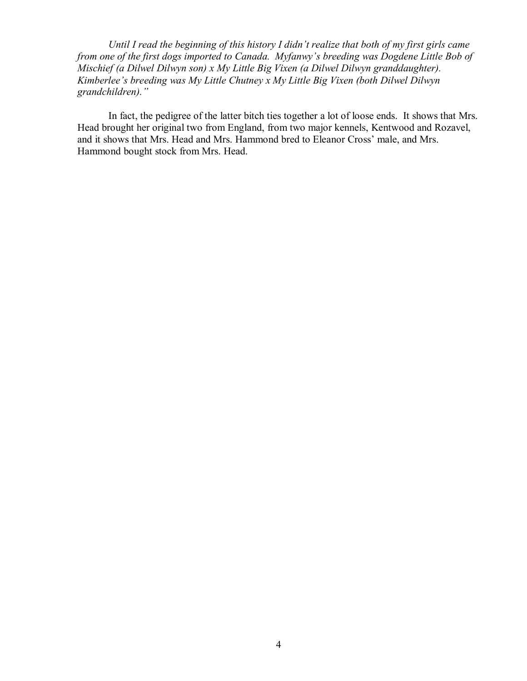*Until I read the beginning of this history I didn't realize that both of my first girls came from one of the first dogs imported to Canada. Myfanwy's breeding was Dogdene Little Bob of Mischief (a Dilwel Dilwyn son) x My Little Big Vixen (a Dilwel Dilwyn granddaughter). Kimberlee's breeding was My Little Chutney x My Little Big Vixen (both Dilwel Dilwyn grandchildren)."*

In fact, the pedigree of the latter bitch ties together a lot of loose ends. It shows that Mrs. Head brought her original two from England, from two major kennels, Kentwood and Rozavel, and it shows that Mrs. Head and Mrs. Hammond bred to Eleanor Cross' male, and Mrs. Hammond bought stock from Mrs. Head.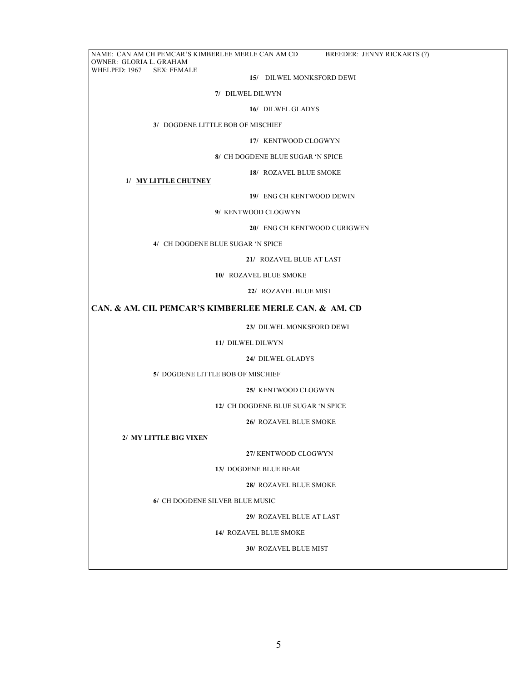NAME: CAN AM CH PEMCAR'S KIMBERLEE MERLE CAN AM CD BREEDER: JENNY RICKARTS (?) OWNER: GLORIA L. GRAHAM WHELPED: 1967 SEX: FEMALE  **15/** DILWEL MONKSFORD DEWI  **7/** DILWEL DILWYN **16/** DILWEL GLADYS **3/** DOGDENE LITTLE BOB OF MISCHIEF **17/** KENTWOOD CLOGWYN **8/** CH DOGDENE BLUE SUGAR 'N SPICE **18/** ROZAVEL BLUE SMOKE  **1/ MY LITTLE CHUTNEY 19/** ENG CH KENTWOOD DEWIN **9/** KENTWOOD CLOGWYN **20/** ENG CH KENTWOOD CURIGWEN **4/** CH DOGDENE BLUE SUGAR 'N SPICE **21/** ROZAVEL BLUE AT LAST **10/** ROZAVEL BLUE SMOKE **22/** ROZAVEL BLUE MIST **CAN. & AM. CH. PEMCAR'S KIMBERLEE MERLE CAN. & AM. CD 23/** DILWEL MONKSFORD DEWI **11/** DILWEL DILWYN **24/** DILWEL GLADYS **5/** DOGDENE LITTLE BOB OF MISCHIEF **25/** KENTWOOD CLOGWYN **12/** CH DOGDENE BLUE SUGAR 'N SPICE  **26/** ROZAVEL BLUE SMOKE **2/ MY LITTLE BIG VIXEN 27/** KENTWOOD CLOGWYN **13/** DOGDENE BLUE BEAR **28/** ROZAVEL BLUE SMOKE **6/** CH DOGDENE SILVER BLUE MUSIC **29/** ROZAVEL BLUE AT LAST **14/** ROZAVEL BLUE SMOKE **30/** ROZAVEL BLUE MIST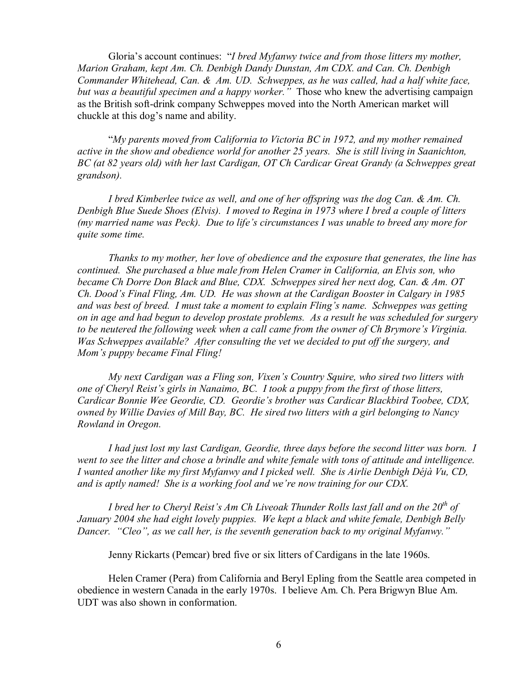Gloria's account continues: "*I bred Myfanwy twice and from those litters my mother, Marion Graham, kept Am. Ch. Denbigh Dandy Dunstan, Am CDX. and Can. Ch. Denbigh Commander Whitehead, Can. & Am. UD. Schweppes, as he was called, had a half white face, but was a beautiful specimen and a happy worker."* Those who knew the advertising campaign as the British soft-drink company Schweppes moved into the North American market will chuckle at this dog's name and ability.

"*My parents moved from California to Victoria BC in 1972, and my mother remained active in the show and obedience world for another 25 years. She is still living in Saanichton, BC (at 82 years old) with her last Cardigan, OT Ch Cardicar Great Grandy (a Schweppes great grandson).* 

*I bred Kimberlee twice as well, and one of her offspring was the dog Can. & Am. Ch. Denbigh Blue Suede Shoes (Elvis). I moved to Regina in 1973 where I bred a couple of litters (my married name was Peck). Due to life's circumstances I was unable to breed any more for quite some time.* 

*Thanks to my mother, her love of obedience and the exposure that generates, the line has continued. She purchased a blue male from Helen Cramer in California, an Elvis son, who became Ch Dorre Don Black and Blue, CDX. Schweppes sired her next dog, Can. & Am. OT Ch. Dood's Final Fling, Am. UD. He was shown at the Cardigan Booster in Calgary in 1985 and was best of breed. I must take a moment to explain Fling's name. Schweppes was getting on in age and had begun to develop prostate problems. As a result he was scheduled for surgery to be neutered the following week when a call came from the owner of Ch Brymore's Virginia. Was Schweppes available? After consulting the vet we decided to put off the surgery, and Mom's puppy became Final Fling!* 

*My next Cardigan was a Fling son, Vixen's Country Squire, who sired two litters with one of Cheryl Reist's girls in Nanaimo, BC. I took a puppy from the first of those litters, Cardicar Bonnie Wee Geordie, CD. Geordie's brother was Cardicar Blackbird Toobee, CDX, owned by Willie Davies of Mill Bay, BC. He sired two litters with a girl belonging to Nancy Rowland in Oregon.* 

*I had just lost my last Cardigan, Geordie, three days before the second litter was born. I*  went to see the litter and chose a brindle and white female with tons of attitude and intelligence. *I wanted another like my first Myfanwy and I picked well. She is Airlie Denbigh Déjà Vu, CD, and is aptly named! She is a working fool and we're now training for our CDX.* 

*I bred her to Cheryl Reist's Am Ch Liveoak Thunder Rolls last fall and on the 20th of January 2004 she had eight lovely puppies. We kept a black and white female, Denbigh Belly Dancer. "Cleo", as we call her, is the seventh generation back to my original Myfanwy."* 

Jenny Rickarts (Pemcar) bred five or six litters of Cardigans in the late 1960s.

Helen Cramer (Pera) from California and Beryl Epling from the Seattle area competed in obedience in western Canada in the early 1970s. I believe Am. Ch. Pera Brigwyn Blue Am. UDT was also shown in conformation.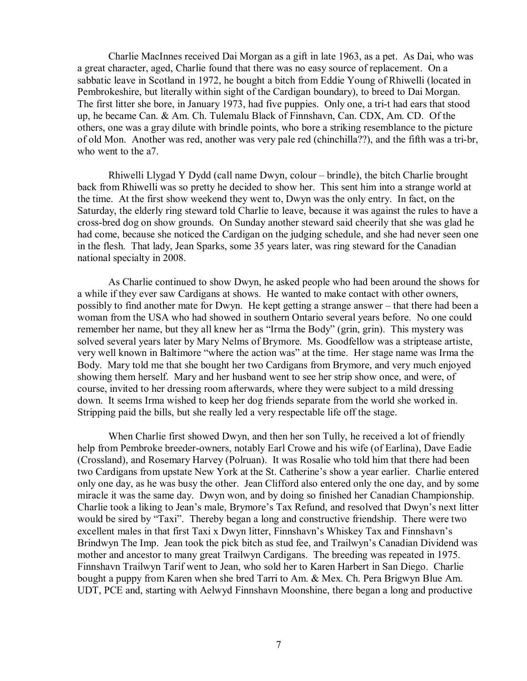Charlie MacInnes received Dai Morgan as a gift in late 1963, as a pet. As Dai, who was a great character, aged, Charlie found that there was no easy source of replacement. On a sabbatic leave in Scotland in 1972, he bought a bitch from Eddie Young of Rhiwelli (located in Pembrokeshire, but literally within sight of the Cardigan boundary), to breed to Dai Morgan. The first litter she bore, in January 1973, had five puppies. Only one, a tri-t had ears that stood up, he became Can. & Am. Ch. Tulemalu Black of Finnshavn, Can. CDX, Am. CD. Of the others, one was a gray dilute with brindle points, who bore a striking resemblance to the picture of old Mon. Another was red, another was very pale red (chinchilla??), and the fifth was a tri-br, who went to the a7.

Rhiwelli Llygad Y Dydd (call name Dwyn, colour – brindle), the bitch Charlie brought back from Rhiwelli was so pretty he decided to show her. This sent him into a strange world at the time. At the first show weekend they went to, Dwyn was the only entry. In fact, on the Saturday, the elderly ring steward told Charlie to leave, because it was against the rules to have a cross-bred dog on show grounds. On Sunday another steward said cheerily that she was glad he had come, because she noticed the Cardigan on the judging schedule, and she had never seen one in the flesh. That lady, Jean Sparks, some 35 years later, was ring steward for the Canadian national specialty in 2008.

As Charlie continued to show Dwyn, he asked people who had been around the shows for a while if they ever saw Cardigans at shows. He wanted to make contact with other owners, possibly to find another mate for Dwyn. He kept getting a strange answer – that there had been a woman from the USA who had showed in southern Ontario several years before. No one could remember her name, but they all knew her as "Irma the Body" (grin, grin). This mystery was solved several years later by Mary Nelms of Brymore. Ms. Goodfellow was a striptease artiste, very well known in Baltimore "where the action was" at the time. Her stage name was Irma the Body. Mary told me that she bought her two Cardigans from Brymore, and very much enjoyed showing them herself. Mary and her husband went to see her strip show once, and were, of course, invited to her dressing room afterwards, where they were subject to a mild dressing down. It seems Irma wished to keep her dog friends separate from the world she worked in. Stripping paid the bills, but she really led a very respectable life off the stage.

When Charlie first showed Dwyn, and then her son Tully, he received a lot of friendly help from Pembroke breeder-owners, notably Earl Crowe and his wife (of Earlina), Dave Eadie (Crossland), and Rosemary Harvey (Polruan). It was Rosalie who told him that there had been two Cardigans from upstate New York at the St. Catherine's show a year earlier. Charlie entered only one day, as he was busy the other. Jean Clifford also entered only the one day, and by some miracle it was the same day. Dwyn won, and by doing so finished her Canadian Championship. Charlie took a liking to Jean's male, Brymore's Tax Refund, and resolved that Dwyn's next litter would be sired by "Taxi". Thereby began a long and constructive friendship. There were two excellent males in that first Taxi x Dwyn litter, Finnshavn's Whiskey Tax and Finnshavn's Brindwyn The Imp. Jean took the pick bitch as stud fee, and Trailwyn's Canadian Dividend was mother and ancestor to many great Trailwyn Cardigans. The breeding was repeated in 1975. Finnshavn Trailwyn Tarif went to Jean, who sold her to Karen Harbert in San Diego. Charlie bought a puppy from Karen when she bred Tarri to Am. & Mex. Ch. Pera Brigwyn Blue Am. UDT, PCE and, starting with Aelwyd Finnshavn Moonshine, there began a long and productive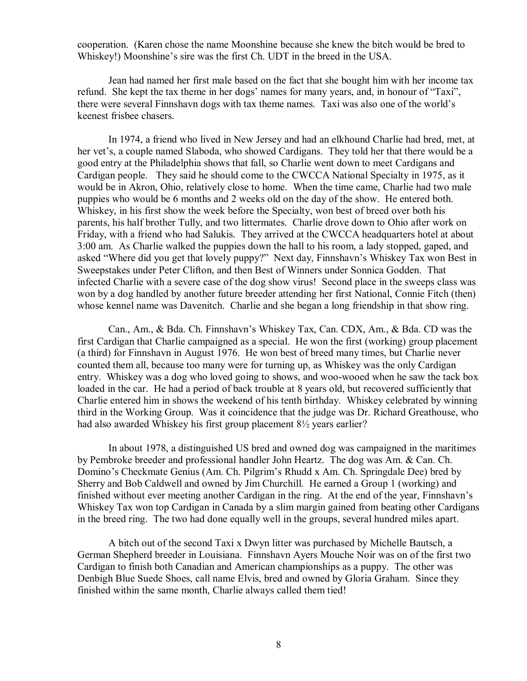cooperation. (Karen chose the name Moonshine because she knew the bitch would be bred to Whiskey!) Moonshine's sire was the first Ch. UDT in the breed in the USA.

Jean had named her first male based on the fact that she bought him with her income tax refund. She kept the tax theme in her dogs' names for many years, and, in honour of "Taxi", there were several Finnshavn dogs with tax theme names. Taxi was also one of the world's keenest frisbee chasers.

In 1974, a friend who lived in New Jersey and had an elkhound Charlie had bred, met, at her vet's, a couple named Slaboda, who showed Cardigans. They told her that there would be a good entry at the Philadelphia shows that fall, so Charlie went down to meet Cardigans and Cardigan people. They said he should come to the CWCCA National Specialty in 1975, as it would be in Akron, Ohio, relatively close to home. When the time came, Charlie had two male puppies who would be 6 months and 2 weeks old on the day of the show. He entered both. Whiskey, in his first show the week before the Specialty, won best of breed over both his parents, his half brother Tully, and two littermates. Charlie drove down to Ohio after work on Friday, with a friend who had Salukis. They arrived at the CWCCA headquarters hotel at about 3:00 am. As Charlie walked the puppies down the hall to his room, a lady stopped, gaped, and asked "Where did you get that lovely puppy?" Next day, Finnshavn's Whiskey Tax won Best in Sweepstakes under Peter Clifton, and then Best of Winners under Sonnica Godden. That infected Charlie with a severe case of the dog show virus! Second place in the sweeps class was won by a dog handled by another future breeder attending her first National, Connie Fitch (then) whose kennel name was Davenitch. Charlie and she began a long friendship in that show ring.

Can., Am., & Bda. Ch. Finnshavn's Whiskey Tax, Can. CDX, Am., & Bda. CD was the first Cardigan that Charlie campaigned as a special. He won the first (working) group placement (a third) for Finnshavn in August 1976. He won best of breed many times, but Charlie never counted them all, because too many were for turning up, as Whiskey was the only Cardigan entry. Whiskey was a dog who loved going to shows, and woo-wooed when he saw the tack box loaded in the car. He had a period of back trouble at 8 years old, but recovered sufficiently that Charlie entered him in shows the weekend of his tenth birthday. Whiskey celebrated by winning third in the Working Group. Was it coincidence that the judge was Dr. Richard Greathouse, who had also awarded Whiskey his first group placement 8½ years earlier?

In about 1978, a distinguished US bred and owned dog was campaigned in the maritimes by Pembroke breeder and professional handler John Heartz. The dog was Am. & Can. Ch. Domino's Checkmate Genius (Am. Ch. Pilgrim's Rhudd x Am. Ch. Springdale Dee) bred by Sherry and Bob Caldwell and owned by Jim Churchill. He earned a Group 1 (working) and finished without ever meeting another Cardigan in the ring. At the end of the year, Finnshavn's Whiskey Tax won top Cardigan in Canada by a slim margin gained from beating other Cardigans in the breed ring. The two had done equally well in the groups, several hundred miles apart.

A bitch out of the second Taxi x Dwyn litter was purchased by Michelle Bautsch, a German Shepherd breeder in Louisiana. Finnshavn Ayers Mouche Noir was on of the first two Cardigan to finish both Canadian and American championships as a puppy. The other was Denbigh Blue Suede Shoes, call name Elvis, bred and owned by Gloria Graham. Since they finished within the same month, Charlie always called them tied!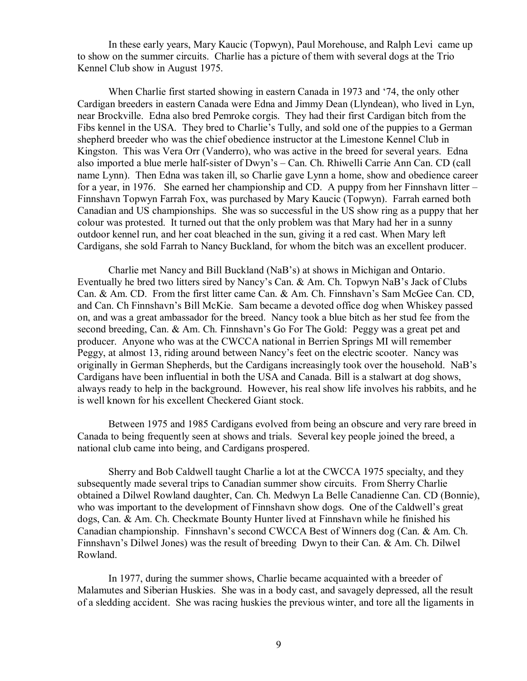In these early years, Mary Kaucic (Topwyn), Paul Morehouse, and Ralph Levi came up to show on the summer circuits. Charlie has a picture of them with several dogs at the Trio Kennel Club show in August 1975.

When Charlie first started showing in eastern Canada in 1973 and '74, the only other Cardigan breeders in eastern Canada were Edna and Jimmy Dean (Llyndean), who lived in Lyn, near Brockville. Edna also bred Pemroke corgis. They had their first Cardigan bitch from the Fibs kennel in the USA. They bred to Charlie's Tully, and sold one of the puppies to a German shepherd breeder who was the chief obedience instructor at the Limestone Kennel Club in Kingston. This was Vera Orr (Vanderro), who was active in the breed for several years. Edna also imported a blue merle half-sister of Dwyn's – Can. Ch. Rhiwelli Carrie Ann Can. CD (call name Lynn). Then Edna was taken ill, so Charlie gave Lynn a home, show and obedience career for a year, in 1976. She earned her championship and CD. A puppy from her Finnshavn litter – Finnshavn Topwyn Farrah Fox, was purchased by Mary Kaucic (Topwyn). Farrah earned both Canadian and US championships. She was so successful in the US show ring as a puppy that her colour was protested. It turned out that the only problem was that Mary had her in a sunny outdoor kennel run, and her coat bleached in the sun, giving it a red cast. When Mary left Cardigans, she sold Farrah to Nancy Buckland, for whom the bitch was an excellent producer.

Charlie met Nancy and Bill Buckland (NaB's) at shows in Michigan and Ontario. Eventually he bred two litters sired by Nancy's Can. & Am. Ch. Topwyn NaB's Jack of Clubs Can. & Am. CD. From the first litter came Can. & Am. Ch. Finnshavn's Sam McGee Can. CD, and Can. Ch Finnshavn's Bill McKie. Sam became a devoted office dog when Whiskey passed on, and was a great ambassador for the breed. Nancy took a blue bitch as her stud fee from the second breeding, Can. & Am. Ch. Finnshavn's Go For The Gold: Peggy was a great pet and producer. Anyone who was at the CWCCA national in Berrien Springs MI will remember Peggy, at almost 13, riding around between Nancy's feet on the electric scooter. Nancy was originally in German Shepherds, but the Cardigans increasingly took over the household. NaB's Cardigans have been influential in both the USA and Canada. Bill is a stalwart at dog shows, always ready to help in the background. However, his real show life involves his rabbits, and he is well known for his excellent Checkered Giant stock.

Between 1975 and 1985 Cardigans evolved from being an obscure and very rare breed in Canada to being frequently seen at shows and trials. Several key people joined the breed, a national club came into being, and Cardigans prospered.

Sherry and Bob Caldwell taught Charlie a lot at the CWCCA 1975 specialty, and they subsequently made several trips to Canadian summer show circuits. From Sherry Charlie obtained a Dilwel Rowland daughter, Can. Ch. Medwyn La Belle Canadienne Can. CD (Bonnie), who was important to the development of Finnshavn show dogs. One of the Caldwell's great dogs, Can. & Am. Ch. Checkmate Bounty Hunter lived at Finnshavn while he finished his Canadian championship. Finnshavn's second CWCCA Best of Winners dog (Can. & Am. Ch. Finnshavn's Dilwel Jones) was the result of breeding Dwyn to their Can. & Am. Ch. Dilwel Rowland.

In 1977, during the summer shows, Charlie became acquainted with a breeder of Malamutes and Siberian Huskies. She was in a body cast, and savagely depressed, all the result of a sledding accident. She was racing huskies the previous winter, and tore all the ligaments in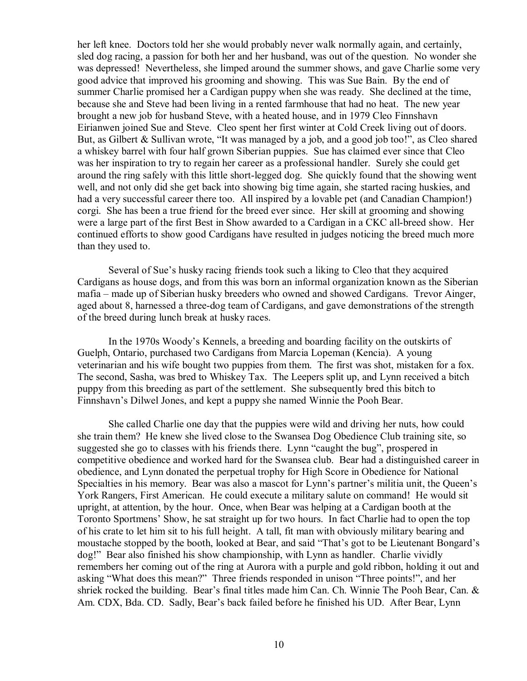her left knee. Doctors told her she would probably never walk normally again, and certainly, sled dog racing, a passion for both her and her husband, was out of the question. No wonder she was depressed! Nevertheless, she limped around the summer shows, and gave Charlie some very good advice that improved his grooming and showing. This was Sue Bain. By the end of summer Charlie promised her a Cardigan puppy when she was ready. She declined at the time, because she and Steve had been living in a rented farmhouse that had no heat. The new year brought a new job for husband Steve, with a heated house, and in 1979 Cleo Finnshavn Eirianwen joined Sue and Steve. Cleo spent her first winter at Cold Creek living out of doors. But, as Gilbert & Sullivan wrote, "It was managed by a job, and a good job too!", as Cleo shared a whiskey barrel with four half grown Siberian puppies. Sue has claimed ever since that Cleo was her inspiration to try to regain her career as a professional handler. Surely she could get around the ring safely with this little short-legged dog. She quickly found that the showing went well, and not only did she get back into showing big time again, she started racing huskies, and had a very successful career there too. All inspired by a lovable pet (and Canadian Champion!) corgi. She has been a true friend for the breed ever since. Her skill at grooming and showing were a large part of the first Best in Show awarded to a Cardigan in a CKC all-breed show. Her continued efforts to show good Cardigans have resulted in judges noticing the breed much more than they used to.

Several of Sue's husky racing friends took such a liking to Cleo that they acquired Cardigans as house dogs, and from this was born an informal organization known as the Siberian mafia – made up of Siberian husky breeders who owned and showed Cardigans. Trevor Ainger, aged about 8, harnessed a three-dog team of Cardigans, and gave demonstrations of the strength of the breed during lunch break at husky races.

In the 1970s Woody's Kennels, a breeding and boarding facility on the outskirts of Guelph, Ontario, purchased two Cardigans from Marcia Lopeman (Kencia). A young veterinarian and his wife bought two puppies from them. The first was shot, mistaken for a fox. The second, Sasha, was bred to Whiskey Tax. The Leepers split up, and Lynn received a bitch puppy from this breeding as part of the settlement. She subsequently bred this bitch to Finnshavn's Dilwel Jones, and kept a puppy she named Winnie the Pooh Bear.

She called Charlie one day that the puppies were wild and driving her nuts, how could she train them? He knew she lived close to the Swansea Dog Obedience Club training site, so suggested she go to classes with his friends there. Lynn "caught the bug", prospered in competitive obedience and worked hard for the Swansea club. Bear had a distinguished career in obedience, and Lynn donated the perpetual trophy for High Score in Obedience for National Specialties in his memory. Bear was also a mascot for Lynn's partner's militia unit, the Queen's York Rangers, First American. He could execute a military salute on command! He would sit upright, at attention, by the hour. Once, when Bear was helping at a Cardigan booth at the Toronto Sportmens' Show, he sat straight up for two hours. In fact Charlie had to open the top of his crate to let him sit to his full height. A tall, fit man with obviously military bearing and moustache stopped by the booth, looked at Bear, and said "That's got to be Lieutenant Bongard's dog!" Bear also finished his show championship, with Lynn as handler. Charlie vividly remembers her coming out of the ring at Aurora with a purple and gold ribbon, holding it out and asking "What does this mean?" Three friends responded in unison "Three points!", and her shriek rocked the building. Bear's final titles made him Can. Ch. Winnie The Pooh Bear, Can. & Am. CDX, Bda. CD. Sadly, Bear's back failed before he finished his UD. After Bear, Lynn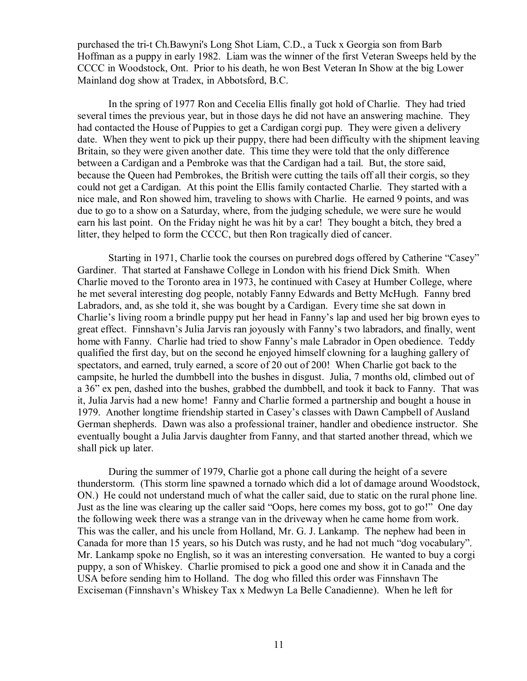purchased the tri-t Ch.Bawyni's Long Shot Liam, C.D., a Tuck x Georgia son from Barb Hoffman as a puppy in early 1982. Liam was the winner of the first Veteran Sweeps held by the CCCC in Woodstock, Ont. Prior to his death, he won Best Veteran In Show at the big Lower Mainland dog show at Tradex, in Abbotsford, B.C.

In the spring of 1977 Ron and Cecelia Ellis finally got hold of Charlie. They had tried several times the previous year, but in those days he did not have an answering machine. They had contacted the House of Puppies to get a Cardigan corgi pup. They were given a delivery date. When they went to pick up their puppy, there had been difficulty with the shipment leaving Britain, so they were given another date. This time they were told that the only difference between a Cardigan and a Pembroke was that the Cardigan had a tail. But, the store said, because the Queen had Pembrokes, the British were cutting the tails off all their corgis, so they could not get a Cardigan. At this point the Ellis family contacted Charlie. They started with a nice male, and Ron showed him, traveling to shows with Charlie. He earned 9 points, and was due to go to a show on a Saturday, where, from the judging schedule, we were sure he would earn his last point. On the Friday night he was hit by a car! They bought a bitch, they bred a litter, they helped to form the CCCC, but then Ron tragically died of cancer.

Starting in 1971, Charlie took the courses on purebred dogs offered by Catherine "Casey" Gardiner. That started at Fanshawe College in London with his friend Dick Smith. When Charlie moved to the Toronto area in 1973, he continued with Casey at Humber College, where he met several interesting dog people, notably Fanny Edwards and Betty McHugh. Fanny bred Labradors, and, as she told it, she was bought by a Cardigan. Every time she sat down in Charlie's living room a brindle puppy put her head in Fanny's lap and used her big brown eyes to great effect. Finnshavn's Julia Jarvis ran joyously with Fanny's two labradors, and finally, went home with Fanny. Charlie had tried to show Fanny's male Labrador in Open obedience. Teddy qualified the first day, but on the second he enjoyed himself clowning for a laughing gallery of spectators, and earned, truly earned, a score of 20 out of 200! When Charlie got back to the campsite, he hurled the dumbbell into the bushes in disgust. Julia, 7 months old, climbed out of a 36" ex pen, dashed into the bushes, grabbed the dumbbell, and took it back to Fanny. That was it, Julia Jarvis had a new home! Fanny and Charlie formed a partnership and bought a house in 1979. Another longtime friendship started in Casey's classes with Dawn Campbell of Ausland German shepherds. Dawn was also a professional trainer, handler and obedience instructor. She eventually bought a Julia Jarvis daughter from Fanny, and that started another thread, which we shall pick up later.

During the summer of 1979, Charlie got a phone call during the height of a severe thunderstorm. (This storm line spawned a tornado which did a lot of damage around Woodstock, ON.) He could not understand much of what the caller said, due to static on the rural phone line. Just as the line was clearing up the caller said "Oops, here comes my boss, got to go!" One day the following week there was a strange van in the driveway when he came home from work. This was the caller, and his uncle from Holland, Mr. G. J. Lankamp. The nephew had been in Canada for more than 15 years, so his Dutch was rusty, and he had not much "dog vocabulary". Mr. Lankamp spoke no English, so it was an interesting conversation. He wanted to buy a corgi puppy, a son of Whiskey. Charlie promised to pick a good one and show it in Canada and the USA before sending him to Holland. The dog who filled this order was Finnshavn The Exciseman (Finnshavn's Whiskey Tax x Medwyn La Belle Canadienne). When he left for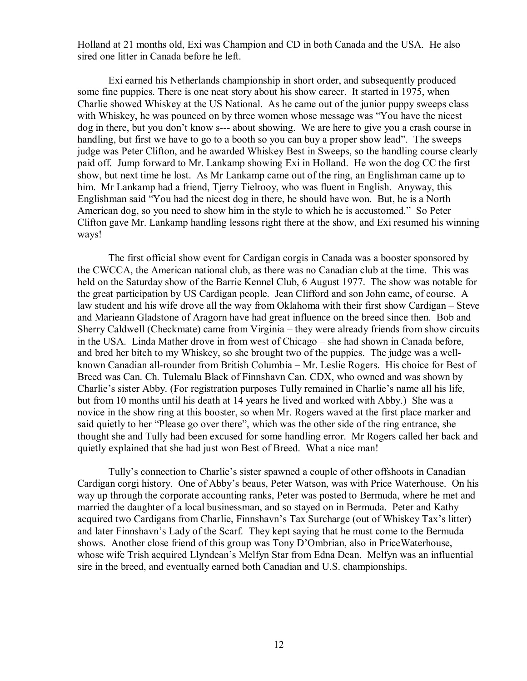Holland at 21 months old, Exi was Champion and CD in both Canada and the USA. He also sired one litter in Canada before he left.

Exi earned his Netherlands championship in short order, and subsequently produced some fine puppies. There is one neat story about his show career. It started in 1975, when Charlie showed Whiskey at the US National. As he came out of the junior puppy sweeps class with Whiskey, he was pounced on by three women whose message was "You have the nicest dog in there, but you don't know s--- about showing. We are here to give you a crash course in handling, but first we have to go to a booth so you can buy a proper show lead". The sweeps judge was Peter Clifton, and he awarded Whiskey Best in Sweeps, so the handling course clearly paid off. Jump forward to Mr. Lankamp showing Exi in Holland. He won the dog CC the first show, but next time he lost. As Mr Lankamp came out of the ring, an Englishman came up to him. Mr Lankamp had a friend, Tjerry Tielrooy, who was fluent in English. Anyway, this Englishman said "You had the nicest dog in there, he should have won. But, he is a North American dog, so you need to show him in the style to which he is accustomed." So Peter Clifton gave Mr. Lankamp handling lessons right there at the show, and Exi resumed his winning ways!

The first official show event for Cardigan corgis in Canada was a booster sponsored by the CWCCA, the American national club, as there was no Canadian club at the time. This was held on the Saturday show of the Barrie Kennel Club, 6 August 1977. The show was notable for the great participation by US Cardigan people. Jean Clifford and son John came, of course. A law student and his wife drove all the way from Oklahoma with their first show Cardigan – Steve and Marieann Gladstone of Aragorn have had great influence on the breed since then. Bob and Sherry Caldwell (Checkmate) came from Virginia – they were already friends from show circuits in the USA. Linda Mather drove in from west of Chicago – she had shown in Canada before, and bred her bitch to my Whiskey, so she brought two of the puppies. The judge was a wellknown Canadian all-rounder from British Columbia – Mr. Leslie Rogers. His choice for Best of Breed was Can. Ch. Tulemalu Black of Finnshavn Can. CDX, who owned and was shown by Charlie's sister Abby. (For registration purposes Tully remained in Charlie's name all his life, but from 10 months until his death at 14 years he lived and worked with Abby.) She was a novice in the show ring at this booster, so when Mr. Rogers waved at the first place marker and said quietly to her "Please go over there", which was the other side of the ring entrance, she thought she and Tully had been excused for some handling error. Mr Rogers called her back and quietly explained that she had just won Best of Breed. What a nice man!

Tully's connection to Charlie's sister spawned a couple of other offshoots in Canadian Cardigan corgi history. One of Abby's beaus, Peter Watson, was with Price Waterhouse. On his way up through the corporate accounting ranks, Peter was posted to Bermuda, where he met and married the daughter of a local businessman, and so stayed on in Bermuda. Peter and Kathy acquired two Cardigans from Charlie, Finnshavn's Tax Surcharge (out of Whiskey Tax's litter) and later Finnshavn's Lady of the Scarf. They kept saying that he must come to the Bermuda shows. Another close friend of this group was Tony D'Ombrian, also in PriceWaterhouse, whose wife Trish acquired Llyndean's Melfyn Star from Edna Dean. Melfyn was an influential sire in the breed, and eventually earned both Canadian and U.S. championships.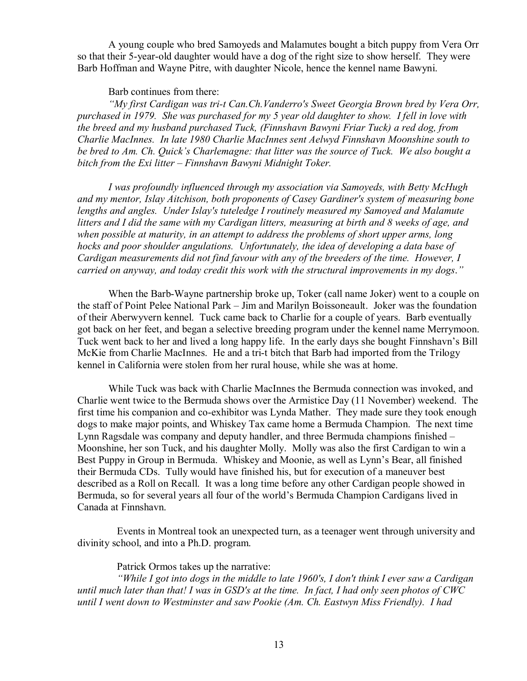A young couple who bred Samoyeds and Malamutes bought a bitch puppy from Vera Orr so that their 5-year-old daughter would have a dog of the right size to show herself. They were Barb Hoffman and Wayne Pitre, with daughter Nicole, hence the kennel name Bawyni.

## Barb continues from there:

 *"My first Cardigan was tri-t Can.Ch.Vanderro's Sweet Georgia Brown bred by Vera Orr, purchased in 1979. She was purchased for my 5 year old daughter to show. I fell in love with the breed and my husband purchased Tuck, (Finnshavn Bawyni Friar Tuck) a red dog, from Charlie MacInnes. In late 1980 Charlie MacInnes sent Aelwyd Finnshavn Moonshine south to be bred to Am. Ch. Quick's Charlemagne: that litter was the source of Tuck. We also bought a bitch from the Exi litter – Finnshavn Bawyni Midnight Toker.* 

*I was profoundly influenced through my association via Samoyeds, with Betty McHugh and my mentor, Islay Aitchison, both proponents of Casey Gardiner's system of measuring bone lengths and angles. Under Islay's tuteledge I routinely measured my Samoyed and Malamute litters and I did the same with my Cardigan litters, measuring at birth and 8 weeks of age, and when possible at maturity, in an attempt to address the problems of short upper arms, long hocks and poor shoulder angulations. Unfortunately, the idea of developing a data base of Cardigan measurements did not find favour with any of the breeders of the time. However, I carried on anyway, and today credit this work with the structural improvements in my dogs*.*"*

When the Barb-Wayne partnership broke up, Toker (call name Joker) went to a couple on the staff of Point Pelee National Park – Jim and Marilyn Boissoneault. Joker was the foundation of their Aberwyvern kennel. Tuck came back to Charlie for a couple of years. Barb eventually got back on her feet, and began a selective breeding program under the kennel name Merrymoon. Tuck went back to her and lived a long happy life. In the early days she bought Finnshavn's Bill McKie from Charlie MacInnes. He and a tri-t bitch that Barb had imported from the Trilogy kennel in California were stolen from her rural house, while she was at home.

While Tuck was back with Charlie MacInnes the Bermuda connection was invoked, and Charlie went twice to the Bermuda shows over the Armistice Day (11 November) weekend. The first time his companion and co-exhibitor was Lynda Mather. They made sure they took enough dogs to make major points, and Whiskey Tax came home a Bermuda Champion. The next time Lynn Ragsdale was company and deputy handler, and three Bermuda champions finished – Moonshine, her son Tuck, and his daughter Molly. Molly was also the first Cardigan to win a Best Puppy in Group in Bermuda. Whiskey and Moonie, as well as Lynn's Bear, all finished their Bermuda CDs. Tully would have finished his, but for execution of a maneuver best described as a Roll on Recall. It was a long time before any other Cardigan people showed in Bermuda, so for several years all four of the world's Bermuda Champion Cardigans lived in Canada at Finnshavn.

Events in Montreal took an unexpected turn, as a teenager went through university and divinity school, and into a Ph.D. program.

Patrick Ormos takes up the narrative:

*"While I got into dogs in the middle to late 1960's, I don't think I ever saw a Cardigan*  until much later than that! I was in GSD's at the time. In fact, I had only seen photos of  $CWC$ *until I went down to Westminster and saw Pookie (Am. Ch. Eastwyn Miss Friendly). I had*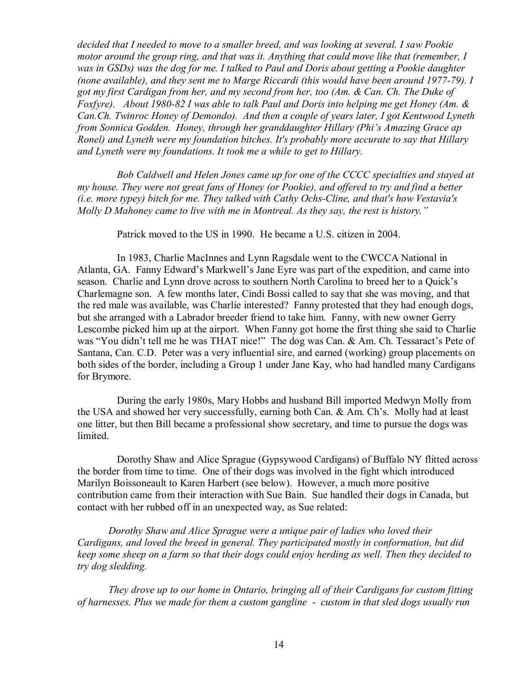*decided that I needed to move to a smaller breed, and was looking at several. I saw Pookie motor around the group ring, and that was it. Anything that could move like that (remember, I was in GSDs) was the dog for me. I talked to Paul and Doris about getting a Pookie daughter (none available), and they sent me to Marge Riccardi (this would have been around 1977-79). I got my first Cardigan from her, and my second from her, too (Am. & Can. Ch. The Duke of Foxfyre). About 1980-82 I was able to talk Paul and Doris into helping me get Honey (Am. & Can.Ch. Twinroc Honey of Demondo). And then a couple of years later, I got Kentwood Lyneth from Sonnica Godden. Honey, through her granddaughter Hillary (Phi's Amazing Grace ap Ronel) and Lyneth were my foundation bitches. It's probably more accurate to say that Hillary and Lyneth were my foundations. It took me a while to get to Hillary.* 

*Bob Caldwell and Helen Jones came up for one of the CCCC specialties and stayed at my house. They were not great fans of Honey (or Pookie), and offered to try and find a better (i.e. more typey) bitch for me. They talked with Cathy Ochs-Cline, and that's how Vestavia's Molly D Mahoney came to live with me in Montreal. As they say, the rest is history."* 

Patrick moved to the US in 1990. He became a U.S. citizen in 2004.

In 1983, Charlie MacInnes and Lynn Ragsdale went to the CWCCA National in Atlanta, GA. Fanny Edward's Markwell's Jane Eyre was part of the expedition, and came into season. Charlie and Lynn drove across to southern North Carolina to breed her to a Quick's Charlemagne son. A few months later, Cindi Bossi called to say that she was moving, and that the red male was available, was Charlie interested? Fanny protested that they had enough dogs, but she arranged with a Labrador breeder friend to take him. Fanny, with new owner Gerry Lescombe picked him up at the airport. When Fanny got home the first thing she said to Charlie was "You didn't tell me he was THAT nice!" The dog was Can. & Am. Ch. Tessaract's Pete of Santana, Can. C.D. Peter was a very influential sire, and earned (working) group placements on both sides of the border, including a Group 1 under Jane Kay, who had handled many Cardigans for Brymore.

During the early 1980s, Mary Hobbs and husband Bill imported Medwyn Molly from the USA and showed her very successfully, earning both Can. & Am. Ch's. Molly had at least one litter, but then Bill became a professional show secretary, and time to pursue the dogs was limited.

Dorothy Shaw and Alice Sprague (Gypsywood Cardigans) of Buffalo NY flitted across the border from time to time. One of their dogs was involved in the fight which introduced Marilyn Boissoneault to Karen Harbert (see below). However, a much more positive contribution came from their interaction with Sue Bain. Sue handled their dogs in Canada, but contact with her rubbed off in an unexpected way, as Sue related:

*Dorothy Shaw and Alice Sprague were a unique pair of ladies who loved their Cardigans, and loved the breed in general. They participated mostly in conformation, but did keep some sheep on a farm so that their dogs could enjoy herding as well. Then they decided to try dog sledding.* 

*They drove up to our home in Ontario, bringing all of their Cardigans for custom fitting of harnesses. Plus we made for them a custom gangline - custom in that sled dogs usually run*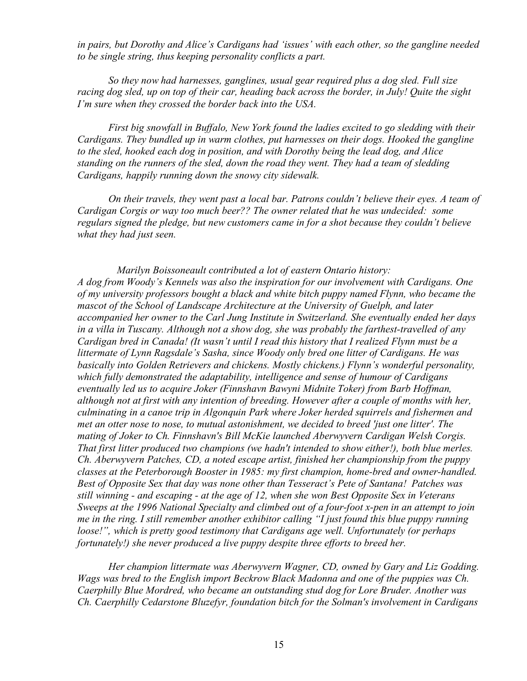*in pairs, but Dorothy and Alice's Cardigans had 'issues' with each other, so the gangline needed to be single string, thus keeping personality conflicts a part.* 

*So they now had harnesses, ganglines, usual gear required plus a dog sled. Full size racing dog sled, up on top of their car, heading back across the border, in July! Quite the sight I'm sure when they crossed the border back into the USA.* 

*First big snowfall in Buffalo, New York found the ladies excited to go sledding with their Cardigans. They bundled up in warm clothes, put harnesses on their dogs. Hooked the gangline to the sled, hooked each dog in position, and with Dorothy being the lead dog, and Alice standing on the runners of the sled, down the road they went. They had a team of sledding Cardigans, happily running down the snowy city sidewalk.* 

*On their travels, they went past a local bar. Patrons couldn't believe their eyes. A team of Cardigan Corgis or way too much beer?? The owner related that he was undecided: some regulars signed the pledge, but new customers came in for a shot because they couldn't believe what they had just seen.* 

*Marilyn Boissoneault contributed a lot of eastern Ontario history: A dog from Woody's Kennels was also the inspiration for our involvement with Cardigans. One of my university professors bought a black and white bitch puppy named Flynn, who became the mascot of the School of Landscape Architecture at the University of Guelph, and later accompanied her owner to the Carl Jung Institute in Switzerland. She eventually ended her days in a villa in Tuscany. Although not a show dog, she was probably the farthest-travelled of any Cardigan bred in Canada! (It wasn't until I read this history that I realized Flynn must be a littermate of Lynn Ragsdale's Sasha, since Woody only bred one litter of Cardigans. He was basically into Golden Retrievers and chickens. Mostly chickens.) Flynn's wonderful personality, which fully demonstrated the adaptability, intelligence and sense of humour of Cardigans eventually led us to acquire Joker (Finnshavn Bawyni Midnite Toker) from Barb Hoffman, although not at first with any intention of breeding. However after a couple of months with her, culminating in a canoe trip in Algonquin Park where Joker herded squirrels and fishermen and met an otter nose to nose, to mutual astonishment, we decided to breed 'just one litter'. The mating of Joker to Ch. Finnshavn's Bill McKie launched Aberwyvern Cardigan Welsh Corgis. That first litter produced two champions (we hadn't intended to show either!), both blue merles. Ch. Aberwyvern Patches, CD, a noted escape artist, finished her championship from the puppy classes at the Peterborough Booster in 1985: my first champion, home-bred and owner-handled. Best of Opposite Sex that day was none other than Tesseract's Pete of Santana! Patches was still winning - and escaping - at the age of 12, when she won Best Opposite Sex in Veterans Sweeps at the 1996 National Specialty and climbed out of a four-foot x-pen in an attempt to join me in the ring. I still remember another exhibitor calling "I just found this blue puppy running loose!", which is pretty good testimony that Cardigans age well. Unfortunately (or perhaps fortunately!) she never produced a live puppy despite three efforts to breed her.* 

*Her champion littermate was Aberwyvern Wagner, CD, owned by Gary and Liz Godding. Wags was bred to the English import Beckrow Black Madonna and one of the puppies was Ch. Caerphilly Blue Mordred, who became an outstanding stud dog for Lore Bruder. Another was Ch. Caerphilly Cedarstone Bluzefyr, foundation bitch for the Solman's involvement in Cardigans*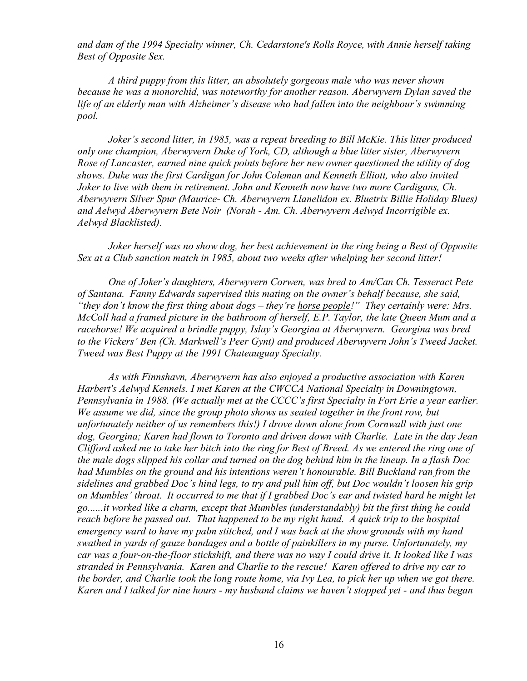*and dam of the 1994 Specialty winner, Ch. Cedarstone's Rolls Royce, with Annie herself taking Best of Opposite Sex.* 

*A third puppy from this litter, an absolutely gorgeous male who was never shown because he was a monorchid, was noteworthy for another reason. Aberwyvern Dylan saved the life of an elderly man with Alzheimer's disease who had fallen into the neighbour's swimming pool.* 

*Joker's second litter, in 1985, was a repeat breeding to Bill McKie. This litter produced only one champion, Aberwyvern Duke of York, CD, although a blue litter sister, Aberwyvern Rose of Lancaster, earned nine quick points before her new owner questioned the utility of dog shows. Duke was the first Cardigan for John Coleman and Kenneth Elliott, who also invited Joker to live with them in retirement. John and Kenneth now have two more Cardigans, Ch. Aberwyvern Silver Spur (Maurice- Ch. Aberwyvern Llanelidon ex. Bluetrix Billie Holiday Blues) and Aelwyd Aberwyvern Bete Noir (Norah - Am. Ch. Aberwyvern Aelwyd Incorrigible ex. Aelwyd Blacklisted).* 

*Joker herself was no show dog, her best achievement in the ring being a Best of Opposite Sex at a Club sanction match in 1985, about two weeks after whelping her second litter!* 

*One of Joker's daughters, Aberwyvern Corwen, was bred to Am/Can Ch. Tesseract Pete of Santana. Fanny Edwards supervised this mating on the owner's behalf because, she said, "they don't know the first thing about dogs – they're horse people!" They certainly were: Mrs. McColl had a framed picture in the bathroom of herself, E.P. Taylor, the late Queen Mum and a racehorse! We acquired a brindle puppy, Islay's Georgina at Aberwyvern. Georgina was bred to the Vickers' Ben (Ch. Markwell's Peer Gynt) and produced Aberwyvern John's Tweed Jacket. Tweed was Best Puppy at the 1991 Chateauguay Specialty.* 

*As with Finnshavn, Aberwyvern has also enjoyed a productive association with Karen Harbert's Aelwyd Kennels. I met Karen at the CWCCA National Specialty in Downingtown, Pennsylvania in 1988. (We actually met at the CCCC's first Specialty in Fort Erie a year earlier. We assume we did, since the group photo shows us seated together in the front row, but unfortunately neither of us remembers this!) I drove down alone from Cornwall with just one dog, Georgina; Karen had flown to Toronto and driven down with Charlie. Late in the day Jean*  Clifford asked me to take her bitch into the ring for Best of Breed. As we entered the ring one of the male dogs slipped his collar and turned on the dog behind him in the lineup. In a flash Doc *had Mumbles on the ground and his intentions weren't honourable. Bill Buckland ran from the sidelines and grabbed Doc's hind legs, to try and pull him off, but Doc wouldn't loosen his grip*  on Mumbles' throat. It occurred to me that if I grabbed Doc's ear and twisted hard he might let *go......it worked like a charm, except that Mumbles (understandably) bit the first thing he could reach before he passed out. That happened to be my right hand. A quick trip to the hospital emergency ward to have my palm stitched, and I was back at the show grounds with my hand swathed in yards of gauze bandages and a bottle of painkillers in my purse. Unfortunately, my*  car was a four-on-the-floor stickshift, and there was no way I could drive it. It looked like I was *stranded in Pennsylvania. Karen and Charlie to the rescue! Karen offered to drive my car to the border, and Charlie took the long route home, via Ivy Lea, to pick her up when we got there.*  Karen and I talked for nine hours - my husband claims we haven't stopped yet - and thus began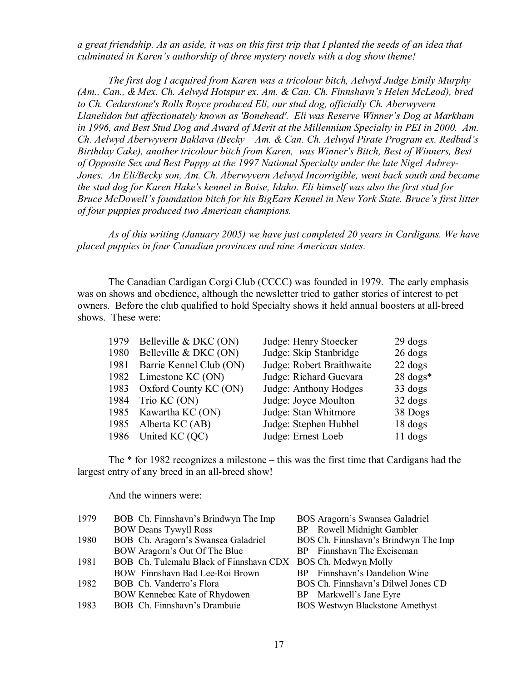a great friendship. As an aside, it was on this first trip that I planted the seeds of an idea that *culminated in Karen's authorship of three mystery novels with a dog show theme!* 

*The first dog I acquired from Karen was a tricolour bitch, Aelwyd Judge Emily Murphy (Am., Can., & Mex. Ch. Aelwyd Hotspur ex. Am. & Can. Ch. Finnshavn's Helen McLeod), bred to Ch. Cedarstone's Rolls Royce produced Eli, our stud dog, officially Ch. Aberwyvern Llanelidon but affectionately known as 'Bonehead'. Eli was Reserve Winner's Dog at Markham*  in 1996, and Best Stud Dog and Award of Merit at the Millennium Specialty in PEI in 2000. Am. *Ch. Aelwyd Aberwyvern Baklava (Becky – Am. & Can. Ch. Aelwyd Pirate Program ex. Redbud's Birthday Cake), another tricolour bitch from Karen, was Winner's Bitch, Best of Winners, Best of Opposite Sex and Best Puppy at the 1997 National Specialty under the late Nigel Aubrey-Jones. An Eli/Becky son, Am. Ch. Aberwyvern Aelwyd Incorrigible, went back south and became the stud dog for Karen Hake's kennel in Boise, Idaho. Eli himself was also the first stud for Bruce McDowell's foundation bitch for his BigEars Kennel in New York State. Bruce's first litter of four puppies produced two American champions.* 

*As of this writing (January 2005) we have just completed 20 years in Cardigans. We have placed puppies in four Canadian provinces and nine American states.* 

The Canadian Cardigan Corgi Club (CCCC) was founded in 1979. The early emphasis was on shows and obedience, although the newsletter tried to gather stories of interest to pet owners. Before the club qualified to hold Specialty shows it held annual boosters at all-breed shows. These were:

| 1979 | Belleville & DKC (ON)      | Judge: Henry Stoecker     | $29$ dogs           |
|------|----------------------------|---------------------------|---------------------|
| 1980 | Belleville & DKC (ON)      | Judge: Skip Stanbridge    | $26 \text{ dogs}$   |
| 1981 | Barrie Kennel Club (ON)    | Judge: Robert Braithwaite | $22 \text{ dogs}$   |
| 1982 | Limestone KC (ON)          | Judge: Richard Guevara    | $28 \text{ dogs}^*$ |
|      | 1983 Oxford County KC (ON) | Judge: Anthony Hodges     | 33 dogs             |
| 1984 | Trio KC (ON)               | Judge: Joyce Moulton      | $32 \text{ dogs}$   |
| 1985 | Kawartha KC (ON)           | Judge: Stan Whitmore      | 38 Dogs             |
|      | 1985 Alberta KC (AB)       | Judge: Stephen Hubbel     | 18 dogs             |
| 1986 | United KC (QC)             | Judge: Ernest Loeb        | $11$ dogs           |

The \* for 1982 recognizes a milestone – this was the first time that Cardigans had the largest entry of any breed in an all-breed show!

And the winners were:

| 1979 | BOB Ch. Finnshavn's Brindwyn The Imp                         | BOS Aragorn's Swansea Galadriel        |
|------|--------------------------------------------------------------|----------------------------------------|
|      | <b>BOW Deans Tywyll Ross</b>                                 | BP Rowell Midnight Gambler             |
| 1980 | BOB Ch. Aragorn's Swansea Galadriel                          | BOS Ch. Finnshavn's Brindwyn The Imp   |
|      | BOW Aragorn's Out Of The Blue                                | BP Finnshavn The Exciseman             |
| 1981 | BOB Ch. Tulemalu Black of Finnshavn CDX BOS Ch. Medwyn Molly |                                        |
|      | BOW Finnshavn Bad Lee-Roi Brown                              | BP Finnshavn's Dandelion Wine          |
| 1982 | BOB Ch. Vanderro's Flora                                     | BOS Ch. Finnshavn's Dilwel Jones CD    |
|      | BOW Kennebec Kate of Rhydowen                                | BP Markwell's Jane Eyre                |
| 1983 | BOB Ch. Finnshavn's Drambuie                                 | <b>BOS Westwyn Blackstone Amethyst</b> |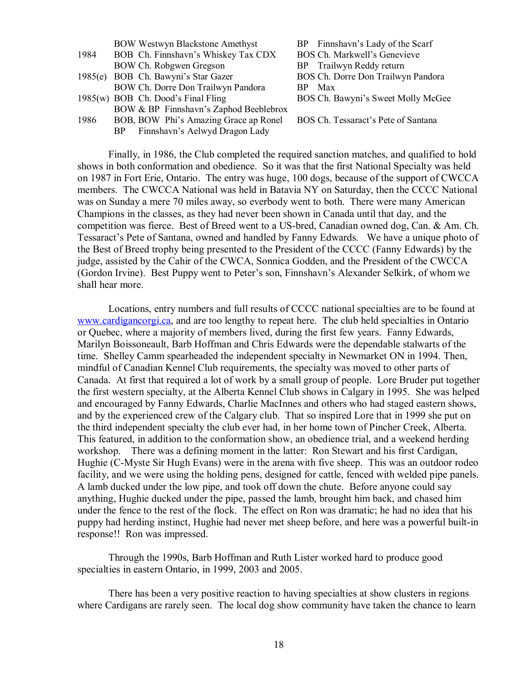|      | <b>BOW Westwyn Blackstone Amethyst</b> | BP Finnshavn's Lady of the Scarf    |
|------|----------------------------------------|-------------------------------------|
| 1984 | BOB Ch. Finnshavn's Whiskey Tax CDX    | BOS Ch. Markwell's Genevieve        |
|      | BOW Ch. Robgwen Gregson                | BP Trailwyn Reddy return            |
|      | 1985(e) BOB Ch. Bawyni's Star Gazer    | BOS Ch. Dorre Don Trailwyn Pandora  |
|      | BOW Ch. Dorre Don Trailwyn Pandora     | BP Max                              |
|      | 1985(w) BOB Ch. Dood's Final Fling     | BOS Ch. Bawyni's Sweet Molly McGee  |
|      | BOW & BP Finnshavn's Zaphod Beeblebrox |                                     |
| 1986 | BOB, BOW Phi's Amazing Grace ap Ronel  | BOS Ch. Tessaract's Pete of Santana |
|      | BP Finnshavn's Aelwyd Dragon Lady      |                                     |

Finally, in 1986, the Club completed the required sanction matches, and qualified to hold shows in both conformation and obedience. So it was that the first National Specialty was held on 1987 in Fort Erie, Ontario. The entry was huge, 100 dogs, because of the support of CWCCA members. The CWCCA National was held in Batavia NY on Saturday, then the CCCC National was on Sunday a mere 70 miles away, so everbody went to both. There were many American Champions in the classes, as they had never been shown in Canada until that day, and the competition was fierce. Best of Breed went to a US-bred, Canadian owned dog, Can. & Am. Ch. Tessaract's Pete of Santana, owned and handled by Fanny Edwards. We have a unique photo of the Best of Breed trophy being presented to the President of the CCCC (Fanny Edwards) by the judge, assisted by the Cahir of the CWCA, Sonnica Godden, and the President of the CWCCA (Gordon Irvine). Best Puppy went to Peter's son, Finnshavn's Alexander Selkirk, of whom we shall hear more.

Locations, entry numbers and full results of CCCC national specialties are to be found at [www.cardigancorgi.ca](http://www.cardigancorgi.ca), and are too lengthy to repeat here. The club held specialties in Ontario or Quebec, where a majority of members lived, during the first few years. Fanny Edwards, Marilyn Boissoneault, Barb Hoffman and Chris Edwards were the dependable stalwarts of the time. Shelley Camm spearheaded the independent specialty in Newmarket ON in 1994. Then, mindful of Canadian Kennel Club requirements, the specialty was moved to other parts of Canada. At first that required a lot of work by a small group of people. Lore Bruder put together the first western specialty, at the Alberta Kennel Club shows in Calgary in 1995. She was helped and encouraged by Fanny Edwards, Charlie MacInnes and others who had staged eastern shows, and by the experienced crew of the Calgary club. That so inspired Lore that in 1999 she put on the third independent specialty the club ever had, in her home town of Pincher Creek, Alberta. This featured, in addition to the conformation show, an obedience trial, and a weekend herding workshop. There was a defining moment in the latter: Ron Stewart and his first Cardigan, Hughie (C-Myste Sir Hugh Evans) were in the arena with five sheep. This was an outdoor rodeo facility, and we were using the holding pens, designed for cattle, fenced with welded pipe panels. A lamb ducked under the low pipe, and took off down the chute. Before anyone could say anything, Hughie ducked under the pipe, passed the lamb, brought him back, and chased him under the fence to the rest of the flock. The effect on Ron was dramatic; he had no idea that his puppy had herding instinct, Hughie had never met sheep before, and here was a powerful built-in response!! Ron was impressed.

Through the 1990s, Barb Hoffman and Ruth Lister worked hard to produce good specialties in eastern Ontario, in 1999, 2003 and 2005.

There has been a very positive reaction to having specialties at show clusters in regions where Cardigans are rarely seen. The local dog show community have taken the chance to learn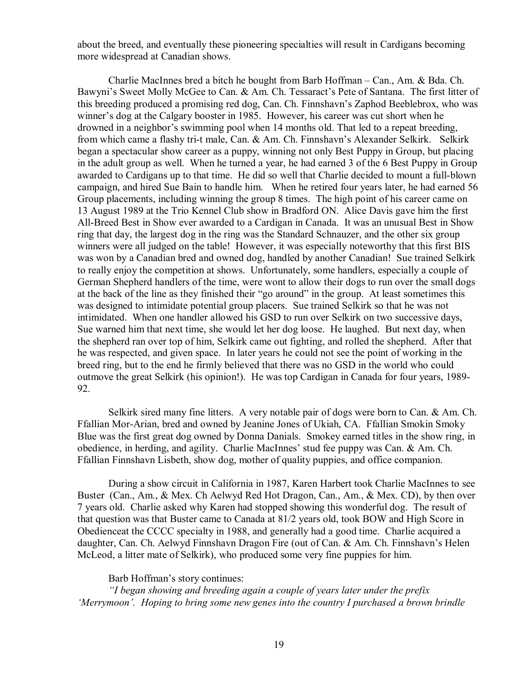about the breed, and eventually these pioneering specialties will result in Cardigans becoming more widespread at Canadian shows.

Charlie MacInnes bred a bitch he bought from Barb Hoffman – Can., Am. & Bda. Ch. Bawyni's Sweet Molly McGee to Can. & Am. Ch. Tessaract's Pete of Santana. The first litter of this breeding produced a promising red dog, Can. Ch. Finnshavn's Zaphod Beeblebrox, who was winner's dog at the Calgary booster in 1985. However, his career was cut short when he drowned in a neighbor's swimming pool when 14 months old. That led to a repeat breeding, from which came a flashy tri-t male, Can. & Am. Ch. Finnshavn's Alexander Selkirk. Selkirk began a spectacular show career as a puppy, winning not only Best Puppy in Group, but placing in the adult group as well. When he turned a year, he had earned 3 of the 6 Best Puppy in Group awarded to Cardigans up to that time. He did so well that Charlie decided to mount a full-blown campaign, and hired Sue Bain to handle him. When he retired four years later, he had earned 56 Group placements, including winning the group 8 times. The high point of his career came on 13 August 1989 at the Trio Kennel Club show in Bradford ON. Alice Davis gave him the first All-Breed Best in Show ever awarded to a Cardigan in Canada. It was an unusual Best in Show ring that day, the largest dog in the ring was the Standard Schnauzer, and the other six group winners were all judged on the table! However, it was especially noteworthy that this first BIS was won by a Canadian bred and owned dog, handled by another Canadian! Sue trained Selkirk to really enjoy the competition at shows. Unfortunately, some handlers, especially a couple of German Shepherd handlers of the time, were wont to allow their dogs to run over the small dogs at the back of the line as they finished their "go around" in the group. At least sometimes this was designed to intimidate potential group placers. Sue trained Selkirk so that he was not intimidated. When one handler allowed his GSD to run over Selkirk on two successive days, Sue warned him that next time, she would let her dog loose. He laughed. But next day, when the shepherd ran over top of him, Selkirk came out fighting, and rolled the shepherd. After that he was respected, and given space. In later years he could not see the point of working in the breed ring, but to the end he firmly believed that there was no GSD in the world who could outmove the great Selkirk (his opinion!). He was top Cardigan in Canada for four years, 1989- 92.

Selkirk sired many fine litters. A very notable pair of dogs were born to Can. & Am. Ch. Ffallian Mor-Arian, bred and owned by Jeanine Jones of Ukiah, CA. Ffallian Smokin Smoky Blue was the first great dog owned by Donna Danials. Smokey earned titles in the show ring, in obedience, in herding, and agility. Charlie MacInnes' stud fee puppy was Can. & Am. Ch. Ffallian Finnshavn Lisbeth, show dog, mother of quality puppies, and office companion.

During a show circuit in California in 1987, Karen Harbert took Charlie MacInnes to see Buster (Can., Am., & Mex. Ch Aelwyd Red Hot Dragon, Can., Am., & Mex. CD), by then over 7 years old. Charlie asked why Karen had stopped showing this wonderful dog. The result of that question was that Buster came to Canada at 81/2 years old, took BOW and High Score in Obedienceat the CCCC specialty in 1988, and generally had a good time. Charlie acquired a daughter, Can. Ch. Aelwyd Finnshavn Dragon Fire (out of Can. & Am. Ch. Finnshavn's Helen McLeod, a litter mate of Selkirk), who produced some very fine puppies for him.

Barb Hoffman's story continues:

*"I began showing and breeding again a couple of years later under the prefix 'Merrymoon'. Hoping to bring some new genes into the country I purchased a brown brindle*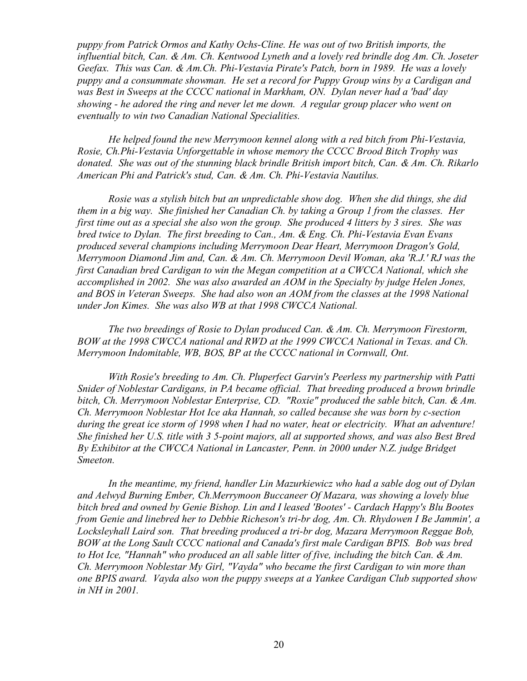*puppy from Patrick Ormos and Kathy Ochs-Cline. He was out of two British imports, the influential bitch, Can. & Am. Ch. Kentwood Lyneth and a lovely red brindle dog Am. Ch. Joseter Geefax. This was Can. & Am.Ch. Phi-Vestavia Pirate's Patch, born in 1989. He was a lovely puppy and a consummate showman. He set a record for Puppy Group wins by a Cardigan and was Best in Sweeps at the CCCC national in Markham, ON. Dylan never had a 'bad' day showing - he adored the ring and never let me down. A regular group placer who went on eventually to win two Canadian National Specialities.* 

*He helped found the new Merrymoon kennel along with a red bitch from Phi-Vestavia, Rosie, Ch.Phi-Vestavia Unforgettable in whose memory the CCCC Brood Bitch Trophy was donated. She was out of the stunning black brindle British import bitch, Can. & Am. Ch. Rikarlo American Phi and Patrick's stud, Can. & Am. Ch. Phi-Vestavia Nautilus.*

*Rosie was a stylish bitch but an unpredictable show dog. When she did things, she did them in a big way. She finished her Canadian Ch. by taking a Group 1 from the classes. Her first time out as a special she also won the group. She produced 4 litters by 3 sires. She was bred twice to Dylan. The first breeding to Can., Am. & Eng. Ch. Phi-Vestavia Evan Evans produced several champions including Merrymoon Dear Heart, Merrymoon Dragon's Gold, Merrymoon Diamond Jim and, Can. & Am. Ch. Merrymoon Devil Woman, aka 'R.J.' RJ was the first Canadian bred Cardigan to win the Megan competition at a CWCCA National, which she accomplished in 2002. She was also awarded an AOM in the Specialty by judge Helen Jones, and BOS in Veteran Sweeps. She had also won an AOM from the classes at the 1998 National under Jon Kimes. She was also WB at that 1998 CWCCA National.* 

*The two breedings of Rosie to Dylan produced Can. & Am. Ch. Merrymoon Firestorm, BOW at the 1998 CWCCA national and RWD at the 1999 CWCCA National in Texas. and Ch. Merrymoon Indomitable, WB, BOS, BP at the CCCC national in Cornwall, Ont.* 

*With Rosie's breeding to Am. Ch. Pluperfect Garvin's Peerless my partnership with Patti Snider of Noblestar Cardigans, in PA became official. That breeding produced a brown brindle bitch, Ch. Merrymoon Noblestar Enterprise, CD. "Roxie" produced the sable bitch, Can. & Am. Ch. Merrymoon Noblestar Hot Ice aka Hannah, so called because she was born by c-section during the great ice storm of 1998 when I had no water, heat or electricity. What an adventure! She finished her U.S. title with 3 5-point majors, all at supported shows, and was also Best Bred By Exhibitor at the CWCCA National in Lancaster, Penn. in 2000 under N.Z. judge Bridget Smeeton.* 

*In the meantime, my friend, handler Lin Mazurkiewicz who had a sable dog out of Dylan and Aelwyd Burning Ember, Ch.Merrymoon Buccaneer Of Mazara, was showing a lovely blue bitch bred and owned by Genie Bishop. Lin and I leased 'Bootes' - Cardach Happy's Blu Bootes from Genie and linebred her to Debbie Richeson's tri-br dog, Am. Ch. Rhydowen I Be Jammin', a Locksleyhall Laird son. That breeding produced a tri-br dog, Mazara Merrymoon Reggae Bob, BOW at the Long Sault CCCC national and Canada's first male Cardigan BPIS. Bob was bred to Hot Ice, "Hannah" who produced an all sable litter of five, including the bitch Can. & Am. Ch. Merrymoon Noblestar My Girl, "Vayda" who became the first Cardigan to win more than one BPIS award. Vayda also won the puppy sweeps at a Yankee Cardigan Club supported show in NH in 2001.*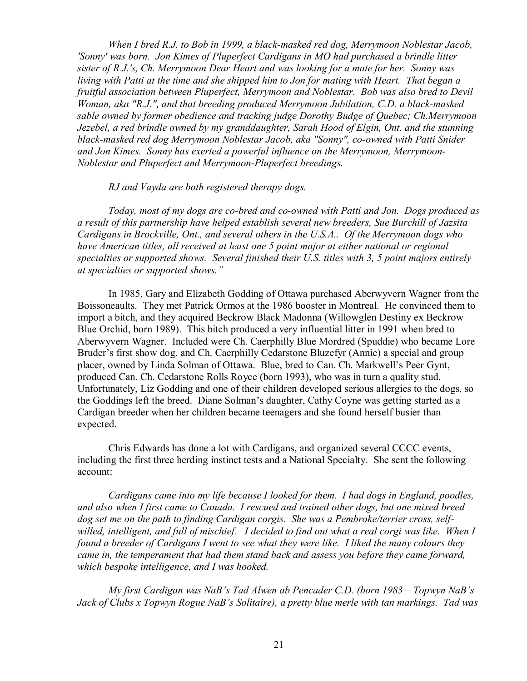*When I bred R.J. to Bob in 1999, a black-masked red dog, Merrymoon Noblestar Jacob, 'Sonny' was born. Jon Kimes of Pluperfect Cardigans in MO had purchased a brindle litter sister of R.J.'s, Ch. Merrymoon Dear Heart and was looking for a mate for her. Sonny was living with Patti at the time and she shipped him to Jon for mating with Heart. That began a fruitful association between Pluperfect, Merrymoon and Noblestar. Bob was also bred to Devil Woman, aka "R.J.", and that breeding produced Merrymoon Jubilation, C.D. a black-masked sable owned by former obedience and tracking judge Dorothy Budge of Quebec; Ch.Merrymoon Jezebel, a red brindle owned by my granddaughter, Sarah Hood of Elgin, Ont. and the stunning black-masked red dog Merrymoon Noblestar Jacob, aka "Sonny", co-owned with Patti Snider and Jon Kimes. Sonny has exerted a powerful influence on the Merrymoon, Merrymoon-Noblestar and Pluperfect and Merrymoon-Pluperfect breedings.* 

*RJ and Vayda are both registered therapy dogs.* 

*Today, most of my dogs are co-bred and co-owned with Patti and Jon. Dogs produced as a result of this partnership have helped establish several new breeders, Sue Burchill of Jazsita Cardigans in Brockville, Ont., and several others in the U.S.A.. Of the Merrymoon dogs who have American titles, all received at least one 5 point major at either national or regional specialties or supported shows. Several finished their U.S. titles with 3, 5 point majors entirely at specialties or supported shows."* 

In 1985, Gary and Elizabeth Godding of Ottawa purchased Aberwyvern Wagner from the Boissoneaults. They met Patrick Ormos at the 1986 booster in Montreal. He convinced them to import a bitch, and they acquired Beckrow Black Madonna (Willowglen Destiny ex Beckrow Blue Orchid, born 1989). This bitch produced a very influential litter in 1991 when bred to Aberwyvern Wagner. Included were Ch. Caerphilly Blue Mordred (Spuddie) who became Lore Bruder's first show dog, and Ch. Caerphilly Cedarstone Bluzefyr (Annie) a special and group placer, owned by Linda Solman of Ottawa. Blue, bred to Can. Ch. Markwell's Peer Gynt, produced Can. Ch. Cedarstone Rolls Royce (born 1993), who was in turn a quality stud. Unfortunately, Liz Godding and one of their children developed serious allergies to the dogs, so the Goddings left the breed. Diane Solman's daughter, Cathy Coyne was getting started as a Cardigan breeder when her children became teenagers and she found herself busier than expected.

Chris Edwards has done a lot with Cardigans, and organized several CCCC events, including the first three herding instinct tests and a National Specialty. She sent the following account:

*Cardigans came into my life because I looked for them. I had dogs in England, poodles, and also when I first came to Canada. I rescued and trained other dogs, but one mixed breed dog set me on the path to finding Cardigan corgis. She was a Pembroke/terrier cross, selfwilled, intelligent, and full of mischief. I decided to find out what a real corgi was like. When I found a breeder of Cardigans I went to see what they were like. I liked the many colours they came in, the temperament that had them stand back and assess you before they came forward, which bespoke intelligence, and I was hooked.* 

*My first Cardigan was NaB's Tad Alwen ab Pencader C.D. (born 1983 – Topwyn NaB's Jack of Clubs x Topwyn Rogue NaB's Solitaire), a pretty blue merle with tan markings. Tad was*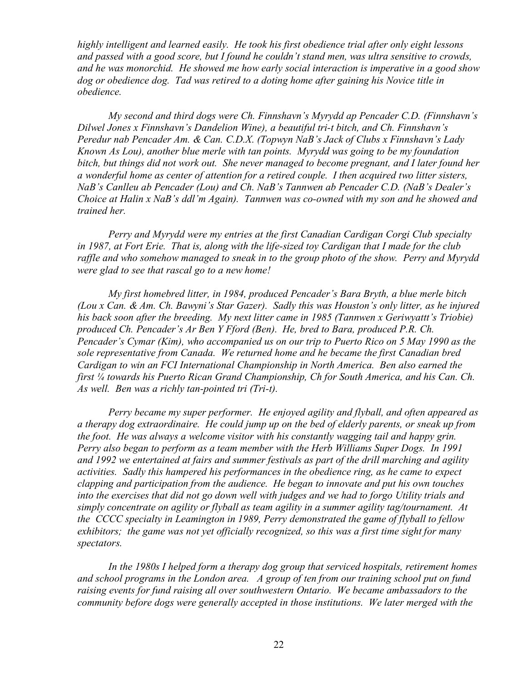*highly intelligent and learned easily. He took his first obedience trial after only eight lessons and passed with a good score, but I found he couldn't stand men, was ultra sensitive to crowds, and he was monorchid. He showed me how early social interaction is imperative in a good show dog or obedience dog. Tad was retired to a doting home after gaining his Novice title in obedience.* 

*My second and third dogs were Ch. Finnshavn's Myrydd ap Pencader C.D. (Finnshavn's Dilwel Jones x Finnshavn's Dandelion Wine), a beautiful tri-t bitch, and Ch. Finnshavn's Peredur nab Pencader Am. & Can. C.D.X. (Topwyn NaB's Jack of Clubs x Finnshavn's Lady Known As Lou), another blue merle with tan points. Myrydd was going to be my foundation bitch, but things did not work out. She never managed to become pregnant, and I later found her a wonderful home as center of attention for a retired couple. I then acquired two litter sisters, NaB's Canlleu ab Pencader (Lou) and Ch. NaB's Tannwen ab Pencader C.D. (NaB's Dealer's Choice at Halin x NaB's ddl'm Again). Tannwen was co-owned with my son and he showed and trained her.* 

*Perry and Myrydd were my entries at the first Canadian Cardigan Corgi Club specialty in 1987, at Fort Erie. That is, along with the life-sized toy Cardigan that I made for the club raffle and who somehow managed to sneak in to the group photo of the show. Perry and Myrydd were glad to see that rascal go to a new home!* 

*My first homebred litter, in 1984, produced Pencader's Bara Bryth, a blue merle bitch (Lou x Can. & Am. Ch. Bawyni's Star Gazer). Sadly this was Houston's only litter, as he injured his back soon after the breeding. My next litter came in 1985 (Tannwen x Geriwyattt's Triobie) produced Ch. Pencader's Ar Ben Y Fford (Ben). He, bred to Bara, produced P.R. Ch. Pencader's Cymar (Kim), who accompanied us on our trip to Puerto Rico on 5 May 1990 as the sole representative from Canada. We returned home and he became the first Canadian bred Cardigan to win an FCI International Championship in North America. Ben also earned the first ¼ towards his Puerto Rican Grand Championship, Ch for South America, and his Can. Ch. As well. Ben was a richly tan-pointed tri (Tri-t).* 

*Perry became my super performer. He enjoyed agility and flyball, and often appeared as a therapy dog extraordinaire. He could jump up on the bed of elderly parents, or sneak up from the foot. He was always a welcome visitor with his constantly wagging tail and happy grin. Perry also began to perform as a team member with the Herb Williams Super Dogs. In 1991 and 1992 we entertained at fairs and summer festivals as part of the drill marching and agility activities. Sadly this hampered his performances in the obedience ring, as he came to expect clapping and participation from the audience. He began to innovate and put his own touches*  into the exercises that did not go down well with judges and we had to forgo Utility trials and *simply concentrate on agility or flyball as team agility in a summer agility tag/tournament. At the CCCC specialty in Leamington in 1989, Perry demonstrated the game of flyball to fellow exhibitors; the game was not yet officially recognized, so this was a first time sight for many spectators.* 

*In the 1980s I helped form a therapy dog group that serviced hospitals, retirement homes and school programs in the London area. A group of ten from our training school put on fund raising events for fund raising all over southwestern Ontario. We became ambassadors to the community before dogs were generally accepted in those institutions. We later merged with the*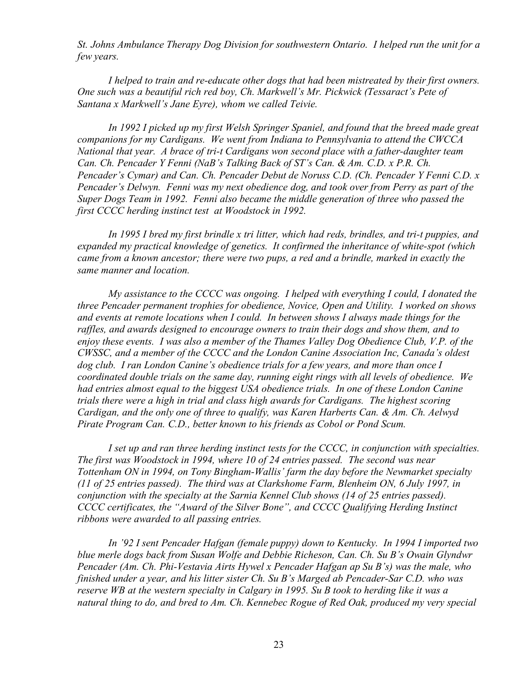*St. Johns Ambulance Therapy Dog Division for southwestern Ontario. I helped run the unit for a few years.* 

*I helped to train and re-educate other dogs that had been mistreated by their first owners. One such was a beautiful rich red boy, Ch. Markwell's Mr. Pickwick (Tessaract's Pete of Santana x Markwell's Jane Eyre), whom we called Teivie.* 

*In 1992 I picked up my first Welsh Springer Spaniel, and found that the breed made great companions for my Cardigans. We went from Indiana to Pennsylvania to attend the CWCCA National that year. A brace of tri-t Cardigans won second place with a father-daughter team Can. Ch. Pencader Y Fenni (NaB's Talking Back of ST's Can. & Am. C.D. x P.R. Ch. Pencader's Cymar) and Can. Ch. Pencader Debut de Noruss C.D. (Ch. Pencader Y Fenni C.D. x Pencader's Delwyn. Fenni was my next obedience dog, and took over from Perry as part of the Super Dogs Team in 1992. Fenni also became the middle generation of three who passed the first CCCC herding instinct test at Woodstock in 1992.* 

*In 1995 I bred my first brindle x tri litter, which had reds, brindles, and tri-t puppies, and expanded my practical knowledge of genetics. It confirmed the inheritance of white-spot (which came from a known ancestor; there were two pups, a red and a brindle, marked in exactly the same manner and location.* 

*My assistance to the CCCC was ongoing. I helped with everything I could, I donated the three Pencader permanent trophies for obedience, Novice, Open and Utility. I worked on shows and events at remote locations when I could. In between shows I always made things for the raffles, and awards designed to encourage owners to train their dogs and show them, and to enjoy these events. I was also a member of the Thames Valley Dog Obedience Club, V.P. of the CWSSC, and a member of the CCCC and the London Canine Association Inc, Canada's oldest dog club. I ran London Canine's obedience trials for a few years, and more than once I coordinated double trials on the same day, running eight rings with all levels of obedience. We had entries almost equal to the biggest USA obedience trials. In one of these London Canine trials there were a high in trial and class high awards for Cardigans. The highest scoring Cardigan, and the only one of three to qualify, was Karen Harberts Can. & Am. Ch. Aelwyd Pirate Program Can. C.D., better known to his friends as Cobol or Pond Scum.* 

*I set up and ran three herding instinct tests for the CCCC, in conjunction with specialties. The first was Woodstock in 1994, where 10 of 24 entries passed. The second was near Tottenham ON in 1994, on Tony Bingham-Wallis' farm the day before the Newmarket specialty (11 of 25 entries passed). The third was at Clarkshome Farm, Blenheim ON, 6 July 1997, in conjunction with the specialty at the Sarnia Kennel Club shows (14 of 25 entries passed). CCCC certificates, the "Award of the Silver Bone", and CCCC Qualifying Herding Instinct ribbons were awarded to all passing entries.* 

*In '92 I sent Pencader Hafgan (female puppy) down to Kentucky. In 1994 I imported two blue merle dogs back from Susan Wolfe and Debbie Richeson, Can. Ch. Su B's Owain Glyndwr Pencader (Am. Ch. Phi-Vestavia Airts Hywel x Pencader Hafgan ap Su B's) was the male, who finished under a year, and his litter sister Ch. Su B's Marged ab Pencader-Sar C.D. who was reserve WB at the western specialty in Calgary in 1995. Su B took to herding like it was a natural thing to do, and bred to Am. Ch. Kennebec Rogue of Red Oak, produced my very special*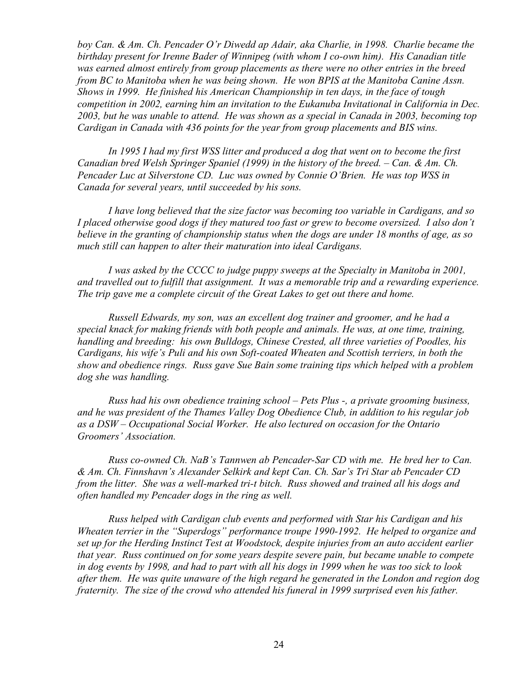*boy Can. & Am. Ch. Pencader O'r Diwedd ap Adair, aka Charlie, in 1998. Charlie became the birthday present for Irenne Bader of Winnipeg (with whom I co-own him). His Canadian title was earned almost entirely from group placements as there were no other entries in the breed from BC to Manitoba when he was being shown. He won BPIS at the Manitoba Canine Assn. Shows in 1999. He finished his American Championship in ten days, in the face of tough competition in 2002, earning him an invitation to the Eukanuba Invitational in California in Dec. 2003, but he was unable to attend. He was shown as a special in Canada in 2003, becoming top Cardigan in Canada with 436 points for the year from group placements and BIS wins.* 

*In 1995 I had my first WSS litter and produced a dog that went on to become the first Canadian bred Welsh Springer Spaniel (1999) in the history of the breed. – Can. & Am. Ch. Pencader Luc at Silverstone CD. Luc was owned by Connie O'Brien. He was top WSS in Canada for several years, until succeeded by his sons.* 

*I have long believed that the size factor was becoming too variable in Cardigans, and so I placed otherwise good dogs if they matured too fast or grew to become oversized. I also don't believe in the granting of championship status when the dogs are under 18 months of age, as so much still can happen to alter their maturation into ideal Cardigans.* 

*I was asked by the CCCC to judge puppy sweeps at the Specialty in Manitoba in 2001, and travelled out to fulfill that assignment. It was a memorable trip and a rewarding experience. The trip gave me a complete circuit of the Great Lakes to get out there and home.* 

*Russell Edwards, my son, was an excellent dog trainer and groomer, and he had a special knack for making friends with both people and animals. He was, at one time, training, handling and breeding: his own Bulldogs, Chinese Crested, all three varieties of Poodles, his Cardigans, his wife's Puli and his own Soft-coated Wheaten and Scottish terriers, in both the show and obedience rings. Russ gave Sue Bain some training tips which helped with a problem dog she was handling.* 

*Russ had his own obedience training school – Pets Plus -, a private grooming business, and he was president of the Thames Valley Dog Obedience Club, in addition to his regular job as a DSW – Occupational Social Worker. He also lectured on occasion for the Ontario Groomers' Association.* 

*Russ co-owned Ch. NaB's Tannwen ab Pencader-Sar CD with me. He bred her to Can. & Am. Ch. Finnshavn's Alexander Selkirk and kept Can. Ch. Sar's Tri Star ab Pencader CD from the litter. She was a well-marked tri-t bitch. Russ showed and trained all his dogs and often handled my Pencader dogs in the ring as well.* 

*Russ helped with Cardigan club events and performed with Star his Cardigan and his Wheaten terrier in the "Superdogs" performance troupe 1990-1992. He helped to organize and set up for the Herding Instinct Test at Woodstock, despite injuries from an auto accident earlier that year. Russ continued on for some years despite severe pain, but became unable to compete*  in dog events by 1998, and had to part with all his dogs in 1999 when he was too sick to look *after them. He was quite unaware of the high regard he generated in the London and region dog fraternity. The size of the crowd who attended his funeral in 1999 surprised even his father.*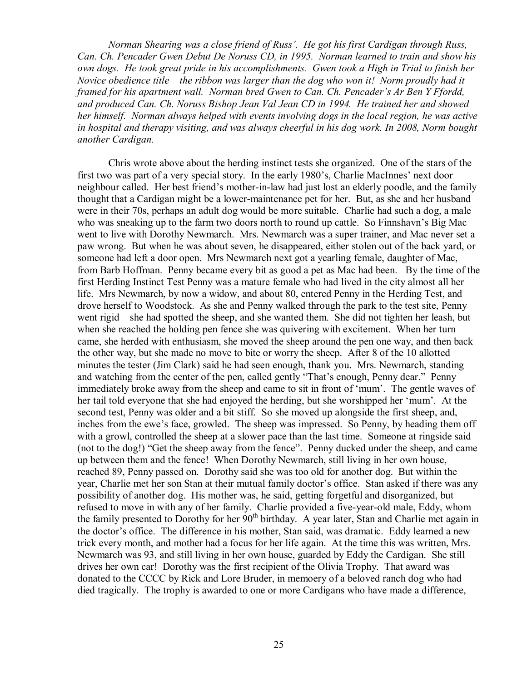*Norman Shearing was a close friend of Russ'. He got his first Cardigan through Russ, Can. Ch. Pencader Gwen Debut De Noruss CD, in 1995. Norman learned to train and show his own dogs. He took great pride in his accomplishments. Gwen took a High in Trial to finish her Novice obedience title – the ribbon was larger than the dog who won it! Norm proudly had it framed for his apartment wall. Norman bred Gwen to Can. Ch. Pencader's Ar Ben Y Ffordd, and produced Can. Ch. Noruss Bishop Jean Val Jean CD in 1994. He trained her and showed her himself. Norman always helped with events involving dogs in the local region, he was active in hospital and therapy visiting, and was always cheerful in his dog work. In 2008, Norm bought another Cardigan.* 

Chris wrote above about the herding instinct tests she organized. One of the stars of the first two was part of a very special story. In the early 1980's, Charlie MacInnes' next door neighbour called. Her best friend's mother-in-law had just lost an elderly poodle, and the family thought that a Cardigan might be a lower-maintenance pet for her. But, as she and her husband were in their 70s, perhaps an adult dog would be more suitable. Charlie had such a dog, a male who was sneaking up to the farm two doors north to round up cattle. So Finnshavn's Big Mac went to live with Dorothy Newmarch. Mrs. Newmarch was a super trainer, and Mac never set a paw wrong. But when he was about seven, he disappeared, either stolen out of the back yard, or someone had left a door open. Mrs Newmarch next got a yearling female, daughter of Mac, from Barb Hoffman. Penny became every bit as good a pet as Mac had been. By the time of the first Herding Instinct Test Penny was a mature female who had lived in the city almost all her life. Mrs Newmarch, by now a widow, and about 80, entered Penny in the Herding Test, and drove herself to Woodstock. As she and Penny walked through the park to the test site, Penny went rigid – she had spotted the sheep, and she wanted them. She did not tighten her leash, but when she reached the holding pen fence she was quivering with excitement. When her turn came, she herded with enthusiasm, she moved the sheep around the pen one way, and then back the other way, but she made no move to bite or worry the sheep. After 8 of the 10 allotted minutes the tester (Jim Clark) said he had seen enough, thank you. Mrs. Newmarch, standing and watching from the center of the pen, called gently "That's enough, Penny dear." Penny immediately broke away from the sheep and came to sit in front of 'mum'. The gentle waves of her tail told everyone that she had enjoyed the herding, but she worshipped her 'mum'. At the second test, Penny was older and a bit stiff. So she moved up alongside the first sheep, and, inches from the ewe's face, growled. The sheep was impressed. So Penny, by heading them off with a growl, controlled the sheep at a slower pace than the last time. Someone at ringside said (not to the dog!) "Get the sheep away from the fence". Penny ducked under the sheep, and came up between them and the fence! When Dorothy Newmarch, still living in her own house, reached 89, Penny passed on. Dorothy said she was too old for another dog. But within the year, Charlie met her son Stan at their mutual family doctor's office. Stan asked if there was any possibility of another dog. His mother was, he said, getting forgetful and disorganized, but refused to move in with any of her family. Charlie provided a five-year-old male, Eddy, whom the family presented to Dorothy for her  $90<sup>th</sup>$  birthday. A year later, Stan and Charlie met again in the doctor's office. The difference in his mother, Stan said, was dramatic. Eddy learned a new trick every month, and mother had a focus for her life again. At the time this was written, Mrs. Newmarch was 93, and still living in her own house, guarded by Eddy the Cardigan. She still drives her own car! Dorothy was the first recipient of the Olivia Trophy. That award was donated to the CCCC by Rick and Lore Bruder, in memoery of a beloved ranch dog who had died tragically. The trophy is awarded to one or more Cardigans who have made a difference,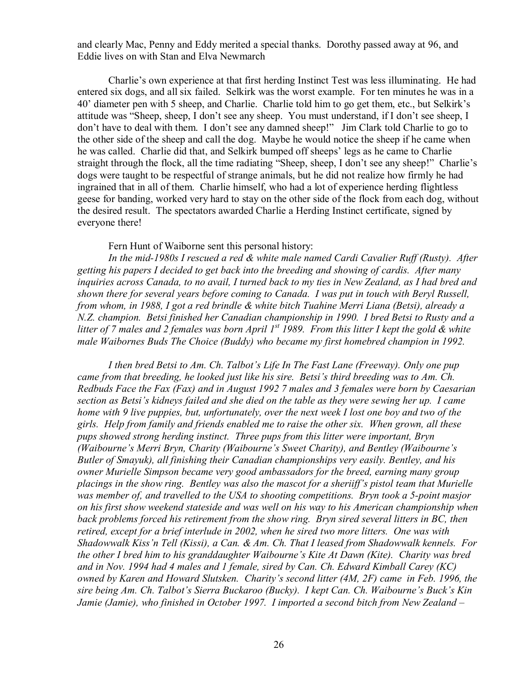and clearly Mac, Penny and Eddy merited a special thanks. Dorothy passed away at 96, and Eddie lives on with Stan and Elva Newmarch

Charlie's own experience at that first herding Instinct Test was less illuminating. He had entered six dogs, and all six failed. Selkirk was the worst example. For ten minutes he was in a 40' diameter pen with 5 sheep, and Charlie. Charlie told him to go get them, etc., but Selkirk's attitude was "Sheep, sheep, I don't see any sheep. You must understand, if I don't see sheep, I don't have to deal with them. I don't see any damned sheep!" Jim Clark told Charlie to go to the other side of the sheep and call the dog. Maybe he would notice the sheep if he came when he was called. Charlie did that, and Selkirk bumped off sheeps' legs as he came to Charlie straight through the flock, all the time radiating "Sheep, sheep, I don't see any sheep!" Charlie's dogs were taught to be respectful of strange animals, but he did not realize how firmly he had ingrained that in all of them. Charlie himself, who had a lot of experience herding flightless geese for banding, worked very hard to stay on the other side of the flock from each dog, without the desired result. The spectators awarded Charlie a Herding Instinct certificate, signed by everyone there!

Fern Hunt of Waiborne sent this personal history:

*In the mid-1980s I rescued a red & white male named Cardi Cavalier Ruff (Rusty). After getting his papers I decided to get back into the breeding and showing of cardis. After many inquiries across Canada, to no avail, I turned back to my ties in New Zealand, as I had bred and shown there for several years before coming to Canada. I was put in touch with Beryl Russell, from whom, in 1988, I got a red brindle & white bitch Tuahine Merri Liana (Betsi), already a N.Z. champion. Betsi finished her Canadian championship in 1990. I bred Betsi to Rusty and a*  litter of 7 males and 2 females was born April  $1^{st}$  1989. From this litter I kept the gold & white *male Waibornes Buds The Choice (Buddy) who became my first homebred champion in 1992.* 

*I then bred Betsi to Am. Ch. Talbot's Life In The Fast Lane (Freeway). Only one pup came from that breeding, he looked just like his sire. Betsi's third breeding was to Am. Ch. Redbuds Face the Fax (Fax) and in August 1992 7 males and 3 females were born by Caesarian section as Betsi's kidneys failed and she died on the table as they were sewing her up. I came home with 9 live puppies, but, unfortunately, over the next week I lost one boy and two of the girls. Help from family and friends enabled me to raise the other six. When grown, all these pups showed strong herding instinct. Three pups from this litter were important, Bryn (Waibourne's Merri Bryn, Charity (Waibourne's Sweet Charity), and Bentley (Waibourne's Butler of Smayuk), all finishing their Canadian championships very easily. Bentley, and his owner Murielle Simpson became very good ambassadors for the breed, earning many group placings in the show ring. Bentley was also the mascot for a sheriiff's pistol team that Murielle was member of, and travelled to the USA to shooting competitions. Bryn took a 5-point masjor on his first show weekend stateside and was well on his way to his American championship when back problems forced his retirement from the show ring. Bryn sired several litters in BC, then retired, except for a brief interlude in 2002, when he sired two more litters. One was with Shadowwalk Kiss'n Tell (Kissi), a Can. & Am. Ch. That I leased from Shadowwalk kennels. For the other I bred him to his granddaughter Waibourne's Kite At Dawn (Kite). Charity was bred and in Nov. 1994 had 4 males and 1 female, sired by Can. Ch. Edward Kimball Carey (KC) owned by Karen and Howard Slutsken. Charity's second litter (4M, 2F) came in Feb. 1996, the sire being Am. Ch. Talbot's Sierra Buckaroo (Bucky). I kept Can. Ch. Waibourne's Buck's Kin Jamie (Jamie), who finished in October 1997. I imported a second bitch from New Zealand –*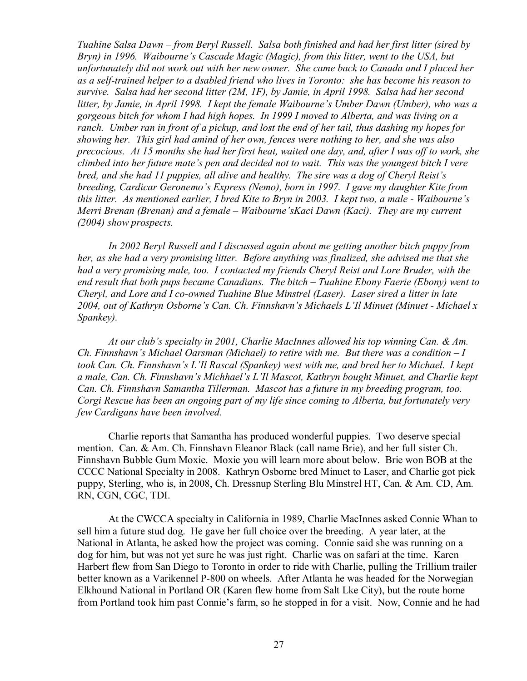*Tuahine Salsa Dawn – from Beryl Russell. Salsa both finished and had her first litter (sired by Bryn) in 1996. Waibourne's Cascade Magic (Magic), from this litter, went to the USA, but unfortunately did not work out with her new owner. She came back to Canada and I placed her as a self-trained helper to a dsabled friend who lives in Toronto: she has become his reason to survive. Salsa had her second litter (2M, 1F), by Jamie, in April 1998. Salsa had her second litter, by Jamie, in April 1998. I kept the female Waibourne's Umber Dawn (Umber), who was a gorgeous bitch for whom I had high hopes. In 1999 I moved to Alberta, and was living on a ranch. Umber ran in front of a pickup, and lost the end of her tail, thus dashing my hopes for showing her. This girl had amind of her own, fences were nothing to her, and she was also precocious. At 15 months she had her first heat, waited one day, and, after I was off to work, she climbed into her future mate's pen and decided not to wait. This was the youngest bitch I vere bred, and she had 11 puppies, all alive and healthy. The sire was a dog of Cheryl Reist's breeding, Cardicar Geronemo's Express (Nemo), born in 1997. I gave my daughter Kite from this litter. As mentioned earlier, I bred Kite to Bryn in 2003. I kept two, a male - Waibourne's Merri Brenan (Brenan) and a female – Waibourne'sKaci Dawn (Kaci). They are my current (2004) show prospects.* 

*In 2002 Beryl Russell and I discussed again about me getting another bitch puppy from her, as she had a very promising litter. Before anything was finalized, she advised me that she had a very promising male, too. I contacted my friends Cheryl Reist and Lore Bruder, with the end result that both pups became Canadians. The bitch – Tuahine Ebony Faerie (Ebony) went to Cheryl, and Lore and I co-owned Tuahine Blue Minstrel (Laser). Laser sired a litter in late 2004, out of Kathryn Osborne's Can. Ch. Finnshavn's Michaels L'Il Minuet (Minuet - Michael x Spankey).* 

*At our club's specialty in 2001, Charlie MacInnes allowed his top winning Can. & Am. Ch. Finnshavn's Michael Oarsman (Michael) to retire with me. But there was a condition – I took Can. Ch. Finnshavn's L'Il Rascal (Spankey) west with me, and bred her to Michael. I kept a male, Can. Ch. Finnshavn's Michhael's L'Il Mascot, Kathryn bought Minuet, and Charlie kept Can. Ch. Finnshavn Samantha Tillerman. Mascot has a future in my breeding program, too. Corgi Rescue has been an ongoing part of my life since coming to Alberta, but fortunately very few Cardigans have been involved.* 

Charlie reports that Samantha has produced wonderful puppies. Two deserve special mention. Can. & Am. Ch. Finnshavn Eleanor Black (call name Brie), and her full sister Ch. Finnshavn Bubble Gum Moxie. Moxie you will learn more about below. Brie won BOB at the CCCC National Specialty in 2008. Kathryn Osborne bred Minuet to Laser, and Charlie got pick puppy, Sterling, who is, in 2008, Ch. Dressnup Sterling Blu Minstrel HT, Can. & Am. CD, Am. RN, CGN, CGC, TDI.

At the CWCCA specialty in California in 1989, Charlie MacInnes asked Connie Whan to sell him a future stud dog. He gave her full choice over the breeding. A year later, at the National in Atlanta, he asked how the project was coming. Connie said she was running on a dog for him, but was not yet sure he was just right. Charlie was on safari at the time. Karen Harbert flew from San Diego to Toronto in order to ride with Charlie, pulling the Trillium trailer better known as a Varikennel P-800 on wheels. After Atlanta he was headed for the Norwegian Elkhound National in Portland OR (Karen flew home from Salt Lke City), but the route home from Portland took him past Connie's farm, so he stopped in for a visit. Now, Connie and he had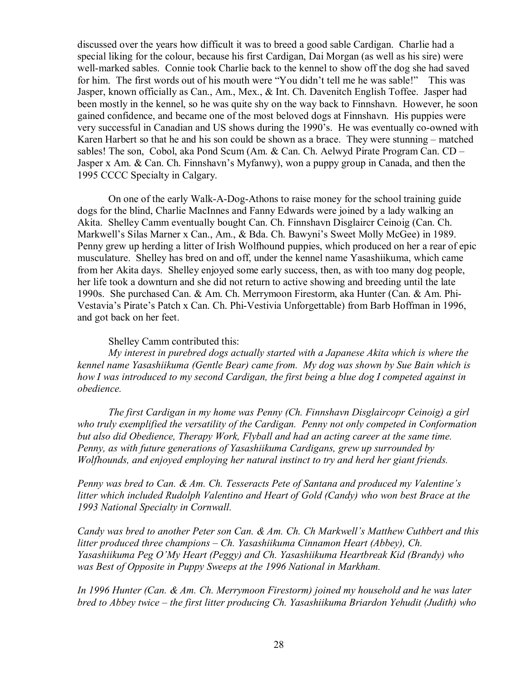discussed over the years how difficult it was to breed a good sable Cardigan. Charlie had a special liking for the colour, because his first Cardigan, Dai Morgan (as well as his sire) were well-marked sables. Connie took Charlie back to the kennel to show off the dog she had saved for him. The first words out of his mouth were "You didn't tell me he was sable!" This was Jasper, known officially as Can., Am., Mex., & Int. Ch. Davenitch English Toffee. Jasper had been mostly in the kennel, so he was quite shy on the way back to Finnshavn. However, he soon gained confidence, and became one of the most beloved dogs at Finnshavn. His puppies were very successful in Canadian and US shows during the 1990's. He was eventually co-owned with Karen Harbert so that he and his son could be shown as a brace. They were stunning – matched sables! The son, Cobol, aka Pond Scum (Am. & Can. Ch. Aelwyd Pirate Program Can. CD – Jasper x Am. & Can. Ch. Finnshavn's Myfanwy), won a puppy group in Canada, and then the 1995 CCCC Specialty in Calgary.

On one of the early Walk-A-Dog-Athons to raise money for the school training guide dogs for the blind, Charlie MacInnes and Fanny Edwards were joined by a lady walking an Akita. Shelley Camm eventually bought Can. Ch. Finnshavn Disglaircr Ceinoig (Can. Ch. Markwell's Silas Marner x Can., Am., & Bda. Ch. Bawyni's Sweet Molly McGee) in 1989. Penny grew up herding a litter of Irish Wolfhound puppies, which produced on her a rear of epic musculature. Shelley has bred on and off, under the kennel name Yasashiikuma, which came from her Akita days. Shelley enjoyed some early success, then, as with too many dog people, her life took a downturn and she did not return to active showing and breeding until the late 1990s. She purchased Can. & Am. Ch. Merrymoon Firestorm, aka Hunter (Can. & Am. Phi-Vestavia's Pirate's Patch x Can. Ch. Phi-Vestivia Unforgettable) from Barb Hoffman in 1996, and got back on her feet.

## Shelley Camm contributed this:

*My interest in purebred dogs actually started with a Japanese Akita which is where the kennel name Yasashiikuma (Gentle Bear) came from. My dog was shown by Sue Bain which is how I was introduced to my second Cardigan, the first being a blue dog I competed against in obedience.* 

*The first Cardigan in my home was Penny (Ch. Finnshavn Disglaircopr Ceinoig) a girl who truly exemplified the versatility of the Cardigan. Penny not only competed in Conformation but also did Obedience, Therapy Work, Flyball and had an acting career at the same time. Penny, as with future generations of Yasashiikuma Cardigans, grew up surrounded by Wolfhounds, and enjoyed employing her natural instinct to try and herd her giant friends.* 

*Penny was bred to Can. & Am. Ch. Tesseracts Pete of Santana and produced my Valentine's litter which included Rudolph Valentino and Heart of Gold (Candy) who won best Brace at the 1993 National Specialty in Cornwall.* 

*Candy was bred to another Peter son Can. & Am. Ch. Ch Markwell's Matthew Cuthbert and this litter produced three champions – Ch. Yasashiikuma Cinnamon Heart (Abbey), Ch. Yasashiikuma Peg O'My Heart (Peggy) and Ch. Yasashiikuma Heartbreak Kid (Brandy) who was Best of Opposite in Puppy Sweeps at the 1996 National in Markham.* 

*In 1996 Hunter (Can. & Am. Ch. Merrymoon Firestorm) joined my household and he was later bred to Abbey twice – the first litter producing Ch. Yasashiikuma Briardon Yehudit (Judith) who*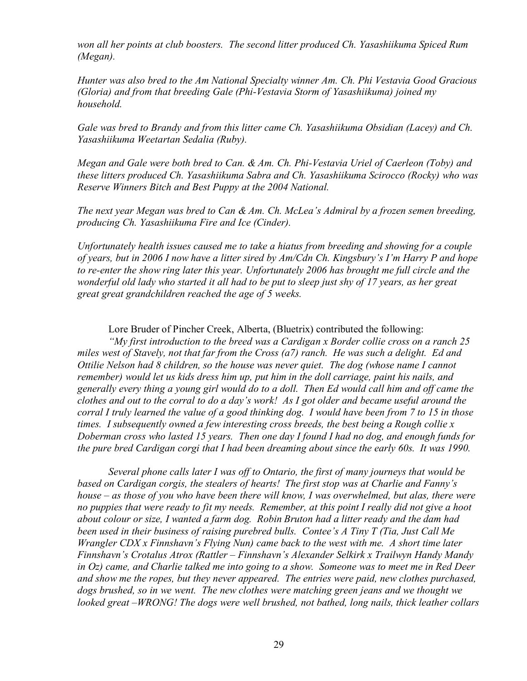*won all her points at club boosters. The second litter produced Ch. Yasashiikuma Spiced Rum (Megan).* 

*Hunter was also bred to the Am National Specialty winner Am. Ch. Phi Vestavia Good Gracious (Gloria) and from that breeding Gale (Phi-Vestavia Storm of Yasashiikuma) joined my household.* 

*Gale was bred to Brandy and from this litter came Ch. Yasashiikuma Obsidian (Lacey) and Ch. Yasashiikuma Weetartan Sedalia (Ruby).* 

*Megan and Gale were both bred to Can. & Am. Ch. Phi-Vestavia Uriel of Caerleon (Toby) and these litters produced Ch. Yasashiikuma Sabra and Ch. Yasashiikuma Scirocco (Rocky) who was Reserve Winners Bitch and Best Puppy at the 2004 National.* 

*The next year Megan was bred to Can & Am. Ch. McLea's Admiral by a frozen semen breeding, producing Ch. Yasashiikuma Fire and Ice (Cinder).* 

*Unfortunately health issues caused me to take a hiatus from breeding and showing for a couple of years, but in 2006 I now have a litter sired by Am/Cdn Ch. Kingsbury's I'm Harry P and hope to re-enter the show ring later this year. Unfortunately 2006 has brought me full circle and the*  wonderful old lady who started it all had to be put to sleep just shy of 17 years, as her great *great great grandchildren reached the age of 5 weeks.* 

Lore Bruder of Pincher Creek, Alberta, (Bluetrix) contributed the following:

*"My first introduction to the breed was a Cardigan x Border collie cross on a ranch 25 miles west of Stavely, not that far from the Cross (a7) ranch. He was such a delight. Ed and Ottilie Nelson had 8 children, so the house was never quiet. The dog (whose name I cannot remember) would let us kids dress him up, put him in the doll carriage, paint his nails, and*  generally every thing a young girl would do to a doll. Then Ed would call him and off came the clothes and out to the corral to do a day's work! As I got older and became useful around the corral I truly learned the value of a good thinking dog. I would have been from 7 to 15 in those *times. I subsequently owned a few interesting cross breeds, the best being a Rough collie x Doberman cross who lasted 15 years. Then one day I found I had no dog, and enough funds for the pure bred Cardigan corgi that I had been dreaming about since the early 60s. It was 1990.* 

*Several phone calls later I was off to Ontario, the first of many journeys that would be based on Cardigan corgis, the stealers of hearts! The first stop was at Charlie and Fanny's house – as those of you who have been there will know, I was overwhelmed, but alas, there were no puppies that were ready to fit my needs. Remember, at this point I really did not give a hoot about colour or size, I wanted a farm dog. Robin Bruton had a litter ready and the dam had been used in their business of raising purebred bulls. Contee's A Tiny T (Tia, Just Call Me Wrangler CDX x Finnshavn's Flying Nun) came back to the west with me. A short time later Finnshavn's Crotalus Atrox (Rattler – Finnshavn's Alexander Selkirk x Trailwyn Handy Mandy in Oz) came, and Charlie talked me into going to a show. Someone was to meet me in Red Deer and show me the ropes, but they never appeared. The entries were paid, new clothes purchased, dogs brushed, so in we went. The new clothes were matching green jeans and we thought we looked great –WRONG! The dogs were well brushed, not bathed, long nails, thick leather collars*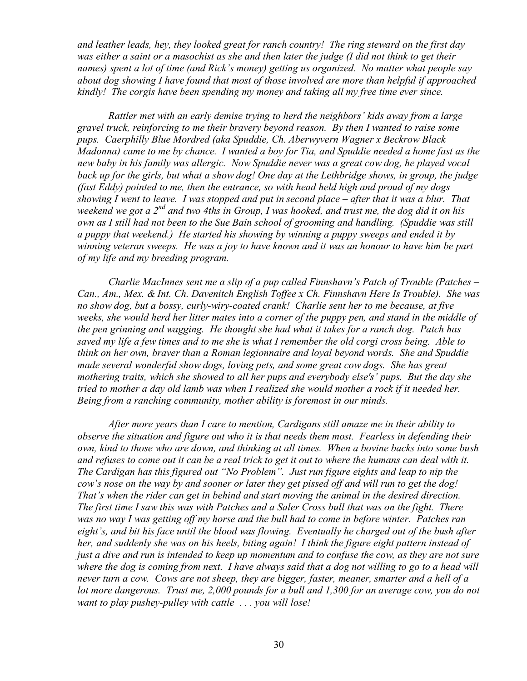*and leather leads, hey, they looked great for ranch country! The ring steward on the first day*  was either a saint or a masochist as she and then later the judge (I did not think to get their *names) spent a lot of time (and Rick's money) getting us organized. No matter what people say about dog showing I have found that most of those involved are more than helpful if approached kindly! The corgis have been spending my money and taking all my free time ever since.* 

*Rattler met with an early demise trying to herd the neighbors' kids away from a large gravel truck, reinforcing to me their bravery beyond reason. By then I wanted to raise some pups. Caerphilly Blue Mordred (aka Spuddie, Ch. Aberwyvern Wagner x Beckrow Black*  Madonna) came to me by chance. I wanted a boy for Tia, and Spuddie needed a home fast as the *new baby in his family was allergic. Now Spuddie never was a great cow dog, he played vocal*  back up for the girls, but what a show dog! One day at the Lethbridge shows, in group, the judge *(fast Eddy) pointed to me, then the entrance, so with head held high and proud of my dogs showing I went to leave. I was stopped and put in second place – after that it was a blur. That weekend we got a 2nd and two 4ths in Group, I was hooked, and trust me, the dog did it on his*  own as I still had not been to the Sue Bain school of grooming and handling. (Spuddie was still *a puppy that weekend.) He started his showing by winning a puppy sweeps and ended it by winning veteran sweeps. He was a joy to have known and it was an honour to have him be part of my life and my breeding program.* 

*Charlie MacInnes sent me a slip of a pup called Finnshavn's Patch of Trouble (Patches – Can., Am., Mex. & Int. Ch. Davenitch English Toffee x Ch. Finnshavn Here Is Trouble). She was no show dog, but a bossy, curly-wiry-coated crank! Charlie sent her to me because, at five weeks, she would herd her litter mates into a corner of the puppy pen, and stand in the middle of the pen grinning and wagging. He thought she had what it takes for a ranch dog. Patch has*  saved my life a few times and to me she is what I remember the old corgi cross being. Able to *think on her own, braver than a Roman legionnaire and loyal beyond words. She and Spuddie made several wonderful show dogs, loving pets, and some great cow dogs. She has great mothering traits, which she showed to all her pups and everybody else's' pups. But the day she*  tried to mother a day old lamb was when I realized she would mother a rock if it needed her. *Being from a ranching community, mother ability is foremost in our minds.* 

*After more years than I care to mention, Cardigans still amaze me in their ability to observe the situation and figure out who it is that needs them most. Fearless in defending their own, kind to those who are down, and thinking at all times. When a bovine backs into some bush*  and refuses to come out it can be a real trick to get it out to where the humans can deal with it. *The Cardigan has this figured out "No Problem". Just run figure eights and leap to nip the*  cow's nose on the way by and sooner or later they get pissed off and will run to get the dog! *That's when the rider can get in behind and start moving the animal in the desired direction.*  The first time I saw this was with Patches and a Saler Cross bull that was on the fight. There was no way I was getting off my horse and the bull had to come in before winter. Patches ran *eight's, and bit his face until the blood was flowing. Eventually he charged out of the bush after her, and suddenly she was on his heels, biting again! I think the figure eight pattern instead of*  just a dive and run is intended to keep up momentum and to confuse the cow, as they are not sure where the dog is coming from next. I have always said that a dog not willing to go to a head will *never turn a cow. Cows are not sheep, they are bigger, faster, meaner, smarter and a hell of a lot more dangerous. Trust me, 2,000 pounds for a bull and 1,300 for an average cow, you do not want to play pushey-pulley with cattle . . . you will lose!*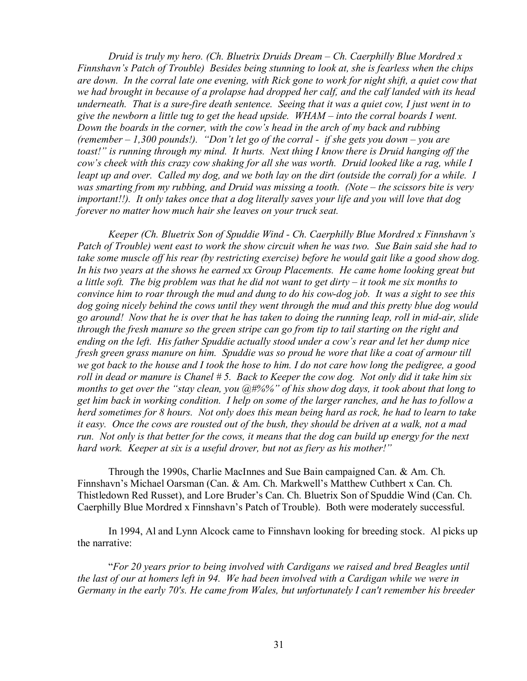*Druid is truly my hero. (Ch. Bluetrix Druids Dream – Ch. Caerphilly Blue Mordred x Finnshavn's Patch of Trouble) Besides being stunning to look at, she is fearless when the chips are down. In the corral late one evening, with Rick gone to work for night shift, a quiet cow that we had brought in because of a prolapse had dropped her calf, and the calf landed with its head underneath. That is a sure-fire death sentence. Seeing that it was a quiet cow, I just went in to*  give the newborn a little tug to get the head upside.  $WHAM$  – into the corral boards I went. *Down the boards in the corner, with the cow's head in the arch of my back and rubbing (remember – 1,300 pounds!). "Don't let go of the corral - if she gets you down – you are toast!" is running through my mind. It hurts. Next thing I know there is Druid hanging off the cow's cheek with this crazy cow shaking for all she was worth. Druid looked like a rag, while I*  leapt up and over. Called my dog, and we both lay on the dirt (outside the corral) for a while. I *was smarting from my rubbing, and Druid was missing a tooth. (Note – the scissors bite is very important!!). It only takes once that a dog literally saves your life and you will love that dog forever no matter how much hair she leaves on your truck seat.* 

*Keeper (Ch. Bluetrix Son of Spuddie Wind - Ch. Caerphilly Blue Mordred x Finnshavn's*  Patch of Trouble) went east to work the show circuit when he was two. Sue Bain said she had to take some muscle off his rear (by restricting exercise) before he would gait like a good show dog. *In his two years at the shows he earned xx Group Placements. He came home looking great but*  a little soft. The big problem was that he did not want to get dirty  $-$  it took me six months to convince him to roar through the mud and dung to do his cow-dog job. It was a sight to see this *dog going nicely behind the cows until they went through the mud and this pretty blue dog would*  go around! Now that he is over that he has taken to doing the running leap, roll in mid-air, slide through the fresh manure so the green stripe can go from tip to tail starting on the right and *ending on the left. His father Spuddie actually stood under a cow's rear and let her dump nice fresh green grass manure on him. Spuddie was so proud he wore that like a coat of armour till*  we got back to the house and I took the hose to him. I do not care how long the pedigree, a good roll in dead or manure is Chanel #5. Back to Keeper the cow dog. Not only did it take him six *months to get over the "stay clean, you @#%%" of his show dog days, it took about that long to get him back in working condition. I help on some of the larger ranches, and he has to follow a herd sometimes for 8 hours. Not only does this mean being hard as rock, he had to learn to take*  it easy. Once the cows are rousted out of the bush, they should be driven at a walk, not a mad *run. Not only is that better for the cows, it means that the dog can build up energy for the next hard work. Keeper at six is a useful drover, but not as fiery as his mother!"* 

Through the 1990s, Charlie MacInnes and Sue Bain campaigned Can. & Am. Ch. Finnshavn's Michael Oarsman (Can. & Am. Ch. Markwell's Matthew Cuthbert x Can. Ch. Thistledown Red Russet), and Lore Bruder's Can. Ch. Bluetrix Son of Spuddie Wind (Can. Ch. Caerphilly Blue Mordred x Finnshavn's Patch of Trouble). Both were moderately successful.

In 1994, Al and Lynn Alcock came to Finnshavn looking for breeding stock. Al picks up the narrative:

"*For 20 years prior to being involved with Cardigans we raised and bred Beagles until*  the last of our at homers left in 94. We had been involved with a Cardigan while we were in *Germany in the early 70's. He came from Wales, but unfortunately I can't remember his breeder*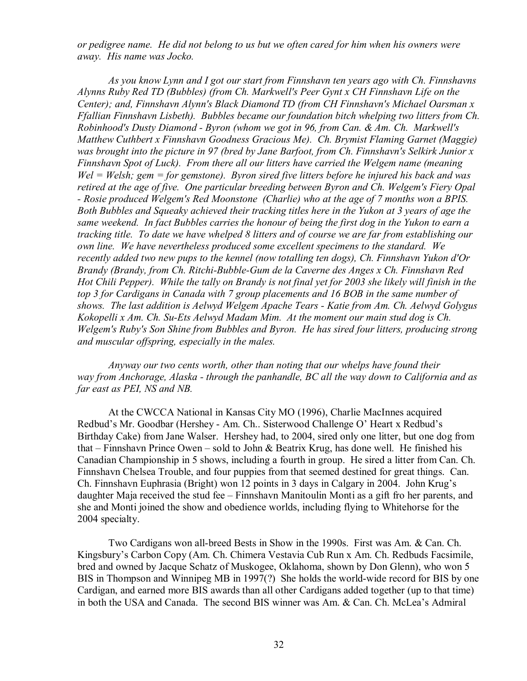*or pedigree name. He did not belong to us but we often cared for him when his owners were away. His name was Jocko.* 

*As you know Lynn and I got our start from Finnshavn ten years ago with Ch. Finnshavns Alynns Ruby Red TD (Bubbles) (from Ch. Markwell's Peer Gynt x CH Finnshavn Life on the Center); and, Finnshavn Alynn's Black Diamond TD (from CH Finnshavn's Michael Oarsman x Ffallian Finnshavn Lisbeth). Bubbles became our foundation bitch whelping two litters from Ch. Robinhood's Dusty Diamond - Byron (whom we got in 96, from Can. & Am. Ch. Markwell's Matthew Cuthbert x Finnshavn Goodness Gracious Me). Ch. Brymist Flaming Garnet (Maggie) was brought into the picture in 97 (bred by Jane Barfoot, from Ch. Finnshavn's Selkirk Junior x Finnshavn Spot of Luck). From there all our litters have carried the Welgem name (meaning Wel = Welsh; gem = for gemstone). Byron sired five litters before he injured his back and was retired at the age of five. One particular breeding between Byron and Ch. Welgem's Fiery Opal - Rosie produced Welgem's Red Moonstone (Charlie) who at the age of 7 months won a BPIS. Both Bubbles and Squeaky achieved their tracking titles here in the Yukon at 3 years of age the same weekend. In fact Bubbles carries the honour of being the first dog in the Yukon to earn a tracking title. To date we have whelped 8 litters and of course we are far from establishing our own line. We have nevertheless produced some excellent specimens to the standard. We recently added two new pups to the kennel (now totalling ten dogs), Ch. Finnshavn Yukon d'Or Brandy (Brandy, from Ch. Ritchi-Bubble-Gum de la Caverne des Anges x Ch. Finnshavn Red*  Hot Chili Pepper). While the tally on Brandy is not final yet for 2003 she likely will finish in the *top 3 for Cardigans in Canada with 7 group placements and 16 BOB in the same number of shows. The last addition is Aelwyd Welgem Apache Tears - Katie from Am. Ch. Aelwyd Golygus Kokopelli x Am. Ch. Su-Ets Aelwyd Madam Mim. At the moment our main stud dog is Ch. Welgem's Ruby's Son Shine from Bubbles and Byron. He has sired four litters, producing strong and muscular offspring, especially in the males.* 

*Anyway our two cents worth, other than noting that our whelps have found their way from Anchorage, Alaska - through the panhandle, BC all the way down to California and as far east as PEI, NS and NB.* 

At the CWCCA National in Kansas City MO (1996), Charlie MacInnes acquired Redbud's Mr. Goodbar (Hershey - Am. Ch.. Sisterwood Challenge O' Heart x Redbud's Birthday Cake) from Jane Walser. Hershey had, to 2004, sired only one litter, but one dog from that – Finnshavn Prince Owen – sold to John & Beatrix Krug, has done well. He finished his Canadian Championship in 5 shows, including a fourth in group. He sired a litter from Can. Ch. Finnshavn Chelsea Trouble, and four puppies from that seemed destined for great things. Can. Ch. Finnshavn Euphrasia (Bright) won 12 points in 3 days in Calgary in 2004. John Krug's daughter Maja received the stud fee – Finnshavn Manitoulin Monti as a gift fro her parents, and she and Monti joined the show and obedience worlds, including flying to Whitehorse for the 2004 specialty.

Two Cardigans won all-breed Bests in Show in the 1990s. First was Am. & Can. Ch. Kingsbury's Carbon Copy (Am. Ch. Chimera Vestavia Cub Run x Am. Ch. Redbuds Facsimile, bred and owned by Jacque Schatz of Muskogee, Oklahoma, shown by Don Glenn), who won 5 BIS in Thompson and Winnipeg MB in 1997(?) She holds the world-wide record for BIS by one Cardigan, and earned more BIS awards than all other Cardigans added together (up to that time) in both the USA and Canada. The second BIS winner was Am. & Can. Ch. McLea's Admiral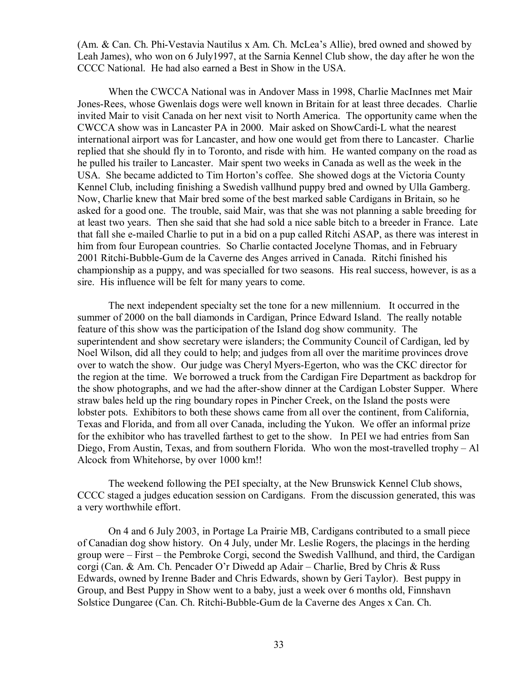(Am. & Can. Ch. Phi-Vestavia Nautilus x Am. Ch. McLea's Allie), bred owned and showed by Leah James), who won on 6 July1997, at the Sarnia Kennel Club show, the day after he won the CCCC National. He had also earned a Best in Show in the USA.

When the CWCCA National was in Andover Mass in 1998, Charlie MacInnes met Mair Jones-Rees, whose Gwenlais dogs were well known in Britain for at least three decades. Charlie invited Mair to visit Canada on her next visit to North America. The opportunity came when the CWCCA show was in Lancaster PA in 2000. Mair asked on ShowCardi-L what the nearest international airport was for Lancaster, and how one would get from there to Lancaster. Charlie replied that she should fly in to Toronto, and risde with him. He wanted company on the road as he pulled his trailer to Lancaster. Mair spent two weeks in Canada as well as the week in the USA. She became addicted to Tim Horton's coffee. She showed dogs at the Victoria County Kennel Club, including finishing a Swedish vallhund puppy bred and owned by Ulla Gamberg. Now, Charlie knew that Mair bred some of the best marked sable Cardigans in Britain, so he asked for a good one. The trouble, said Mair, was that she was not planning a sable breeding for at least two years. Then she said that she had sold a nice sable bitch to a breeder in France. Late that fall she e-mailed Charlie to put in a bid on a pup called Ritchi ASAP, as there was interest in him from four European countries. So Charlie contacted Jocelyne Thomas, and in February 2001 Ritchi-Bubble-Gum de la Caverne des Anges arrived in Canada. Ritchi finished his championship as a puppy, and was specialled for two seasons. His real success, however, is as a sire. His influence will be felt for many years to come.

The next independent specialty set the tone for a new millennium. It occurred in the summer of 2000 on the ball diamonds in Cardigan, Prince Edward Island. The really notable feature of this show was the participation of the Island dog show community. The superintendent and show secretary were islanders; the Community Council of Cardigan, led by Noel Wilson, did all they could to help; and judges from all over the maritime provinces drove over to watch the show. Our judge was Cheryl Myers-Egerton, who was the CKC director for the region at the time. We borrowed a truck from the Cardigan Fire Department as backdrop for the show photographs, and we had the after-show dinner at the Cardigan Lobster Supper. Where straw bales held up the ring boundary ropes in Pincher Creek, on the Island the posts were lobster pots. Exhibitors to both these shows came from all over the continent, from California, Texas and Florida, and from all over Canada, including the Yukon. We offer an informal prize for the exhibitor who has travelled farthest to get to the show. In PEI we had entries from San Diego, From Austin, Texas, and from southern Florida. Who won the most-travelled trophy – Al Alcock from Whitehorse, by over 1000 km!!

The weekend following the PEI specialty, at the New Brunswick Kennel Club shows, CCCC staged a judges education session on Cardigans. From the discussion generated, this was a very worthwhile effort.

On 4 and 6 July 2003, in Portage La Prairie MB, Cardigans contributed to a small piece of Canadian dog show history. On 4 July, under Mr. Leslie Rogers, the placings in the herding group were – First – the Pembroke Corgi, second the Swedish Vallhund, and third, the Cardigan corgi (Can. & Am. Ch. Pencader O'r Diwedd ap Adair – Charlie, Bred by Chris & Russ Edwards, owned by Irenne Bader and Chris Edwards, shown by Geri Taylor). Best puppy in Group, and Best Puppy in Show went to a baby, just a week over 6 months old, Finnshavn Solstice Dungaree (Can. Ch. Ritchi-Bubble-Gum de la Caverne des Anges x Can. Ch.